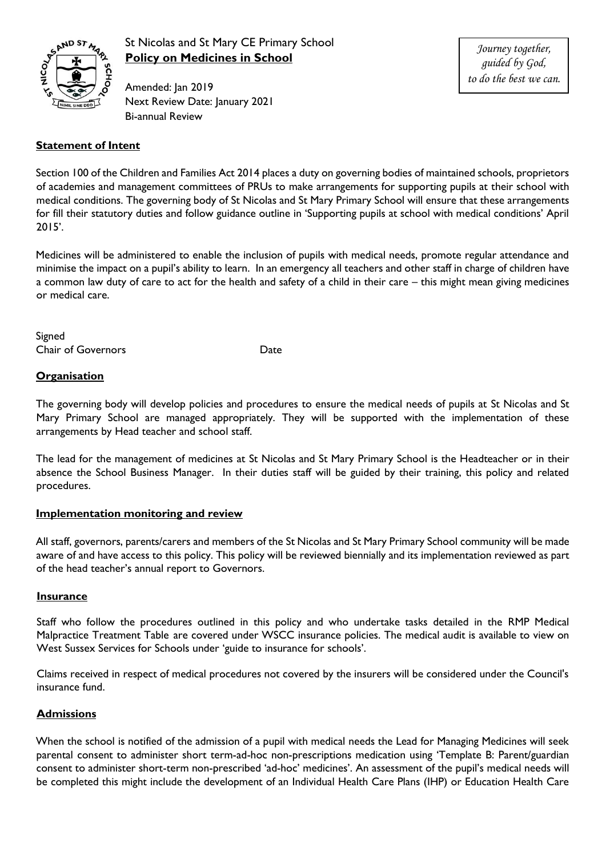

## St Nicolas and St Mary CE Primary School **Policy on Medicines in School**

Amended: Jan 2019 Next Review Date: January 2021 Bi-annual Review

*Journey together, guided by God, to do the best we can.*

#### **Statement of Intent**

Section 100 of the Children and Families Act 2014 places a duty on governing bodies of maintained schools, proprietors of academies and management committees of PRUs to make arrangements for supporting pupils at their school with medical conditions. The governing body of St Nicolas and St Mary Primary School will ensure that these arrangements for fill their statutory duties and follow guidance outline in 'Supporting pupils at school with medical conditions' April 2015'.

Medicines will be administered to enable the inclusion of pupils with medical needs, promote regular attendance and minimise the impact on a pupil's ability to learn. In an emergency all teachers and other staff in charge of children have a common law duty of care to act for the health and safety of a child in their care – this might mean giving medicines or medical care.

Signed Chair of Governors **Date** 

#### **Organisation**

The governing body will develop policies and procedures to ensure the medical needs of pupils at St Nicolas and St Mary Primary School are managed appropriately. They will be supported with the implementation of these arrangements by Head teacher and school staff.

The lead for the management of medicines at St Nicolas and St Mary Primary School is the Headteacher or in their absence the School Business Manager. In their duties staff will be guided by their training, this policy and related procedures.

#### **Implementation monitoring and review**

All staff, governors, parents/carers and members of the St Nicolas and St Mary Primary School community will be made aware of and have access to this policy. This policy will be reviewed biennially and its implementation reviewed as part of the head teacher's annual report to Governors.

#### **Insurance**

Staff who follow the procedures outlined in this policy and who undertake tasks detailed in the RMP Medical Malpractice Treatment Table are covered under WSCC insurance policies. The medical audit is available to view on West Sussex Services for Schools under 'guide to insurance for schools'.

Claims received in respect of medical procedures not covered by the insurers will be considered under the Council's insurance fund.

#### **Admissions**

When the school is notified of the admission of a pupil with medical needs the Lead for Managing Medicines will seek parental consent to administer short term-ad-hoc non-prescriptions medication using 'Template B: Parent/guardian consent to administer short-term non-prescribed 'ad-hoc' medicines'. An assessment of the pupil's medical needs will be completed this might include the development of an Individual Health Care Plans (IHP) or Education Health Care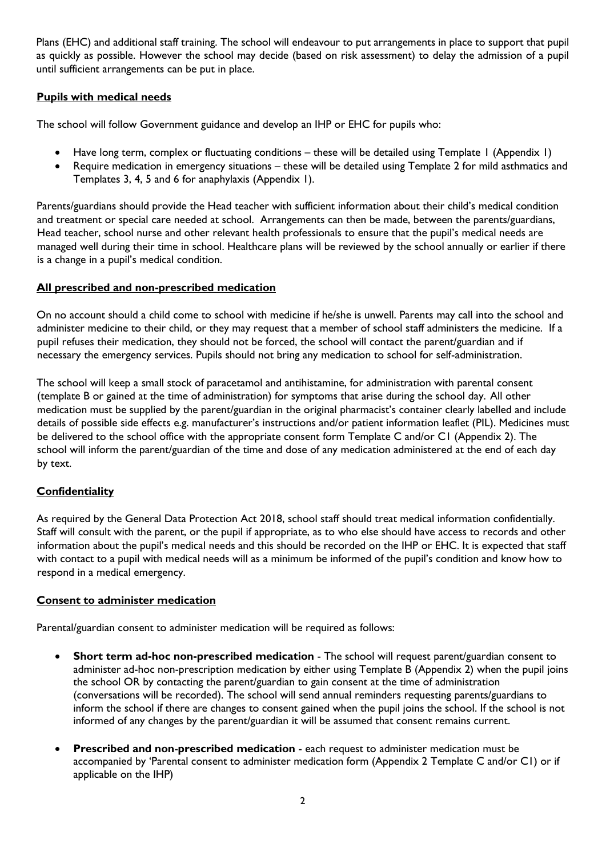Plans (EHC) and additional staff training. The school will endeavour to put arrangements in place to support that pupil as quickly as possible. However the school may decide (based on risk assessment) to delay the admission of a pupil until sufficient arrangements can be put in place.

#### **Pupils with medical needs**

The school will follow Government guidance and develop an IHP or EHC for pupils who:

- Have long term, complex or fluctuating conditions these will be detailed using Template 1 (Appendix 1)
- Require medication in emergency situations these will be detailed using Template 2 for mild asthmatics and Templates 3, 4, 5 and 6 for anaphylaxis (Appendix 1).

Parents/guardians should provide the Head teacher with sufficient information about their child's medical condition and treatment or special care needed at school. Arrangements can then be made, between the parents/guardians, Head teacher, school nurse and other relevant health professionals to ensure that the pupil's medical needs are managed well during their time in school. Healthcare plans will be reviewed by the school annually or earlier if there is a change in a pupil's medical condition.

#### **All prescribed and non-prescribed medication**

On no account should a child come to school with medicine if he/she is unwell. Parents may call into the school and administer medicine to their child, or they may request that a member of school staff administers the medicine. If a pupil refuses their medication, they should not be forced, the school will contact the parent/guardian and if necessary the emergency services. Pupils should not bring any medication to school for self-administration.

The school will keep a small stock of paracetamol and antihistamine, for administration with parental consent (template B or gained at the time of administration) for symptoms that arise during the school day. All other medication must be supplied by the parent/guardian in the original pharmacist's container clearly labelled and include details of possible side effects e.g. manufacturer's instructions and/or patient information leaflet (PIL). Medicines must be delivered to the school office with the appropriate consent form Template C and/or C1 (Appendix 2). The school will inform the parent/guardian of the time and dose of any medication administered at the end of each day by text.

#### **Confidentiality**

As required by the General Data Protection Act 2018, school staff should treat medical information confidentially. Staff will consult with the parent, or the pupil if appropriate, as to who else should have access to records and other information about the pupil's medical needs and this should be recorded on the IHP or EHC. It is expected that staff with contact to a pupil with medical needs will as a minimum be informed of the pupil's condition and know how to respond in a medical emergency.

#### **Consent to administer medication**

Parental/guardian consent to administer medication will be required as follows:

- **Short term ad-hoc non-prescribed medication** The school will request parent/guardian consent to administer ad-hoc non-prescription medication by either using Template B (Appendix 2) when the pupil joins the school OR by contacting the parent/guardian to gain consent at the time of administration (conversations will be recorded). The school will send annual reminders requesting parents/guardians to inform the school if there are changes to consent gained when the pupil joins the school. If the school is not informed of any changes by the parent/guardian it will be assumed that consent remains current.
- **Prescribed and non**-**prescribed medication** each request to administer medication must be accompanied by 'Parental consent to administer medication form (Appendix 2 Template C and/or C1) or if applicable on the IHP)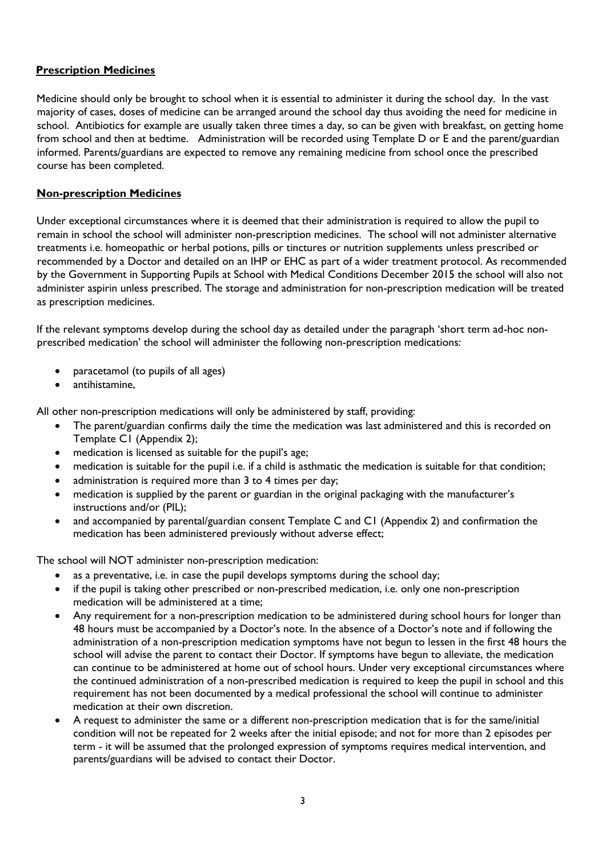#### **Prescription Medicines**

Medicine should only be brought to school when it is essential to administer it during the school day. In the vast majority of cases, doses of medicine can be arranged around the school day thus avoiding the need for medicine in school. Antibiotics for example are usually taken three times a day, so can be given with breakfast, on getting home from school and then at bedtime. Administration will be recorded using Template D or E and the parent/guardian informed. Parents/guardians are expected to remove any remaining medicine from school once the prescribed course has been completed.

#### **Non-prescription Medicines**

Under exceptional circumstances where it is deemed that their administration is required to allow the pupil to remain in school the school will administer non-prescription medicines. The school will not administer alternative treatments i.e. homeopathic or herbal potions, pills or tinctures or nutrition supplements unless prescribed or recommended by a Doctor and detailed on an IHP or EHC as part of a wider treatment protocol. As recommended by the Government in Supporting Pupils at School with Medical Conditions December 2015 the school will also not administer aspirin unless prescribed. The storage and administration for non-prescription medication will be treated as prescription medicines.

If the relevant symptoms develop during the school day as detailed under the paragraph 'short term ad-hoc nonprescribed medication' the school will administer the following non-prescription medications:

- paracetamol (to pupils of all ages)
- antihistamine,

All other non-prescription medications will only be administered by staff, providing:

- The parent/guardian confirms daily the time the medication was last administered and this is recorded on Template C1 (Appendix 2);
- medication is licensed as suitable for the pupil's age;
- medication is suitable for the pupil i.e. if a child is asthmatic the medication is suitable for that condition;
- administration is required more than 3 to 4 times per day;
- medication is supplied by the parent or guardian in the original packaging with the manufacturer's instructions and/or (PIL);
- and accompanied by parental/guardian consent Template C and C1 (Appendix 2) and confirmation the medication has been administered previously without adverse effect;

The school will NOT administer non-prescription medication:

- as a preventative, i.e. in case the pupil develops symptoms during the school day;
- if the pupil is taking other prescribed or non-prescribed medication, i.e. only one non-prescription medication will be administered at a time;
- Any requirement for a non-prescription medication to be administered during school hours for longer than 48 hours must be accompanied by a Doctor's note. In the absence of a Doctor's note and if following the administration of a non-prescription medication symptoms have not begun to lessen in the first 48 hours the school will advise the parent to contact their Doctor. If symptoms have begun to alleviate, the medication can continue to be administered at home out of school hours. Under very exceptional circumstances where the continued administration of a non-prescribed medication is required to keep the pupil in school and this requirement has not been documented by a medical professional the school will continue to administer medication at their own discretion.
- A request to administer the same or a different non-prescription medication that is for the same/initial condition will not be repeated for 2 weeks after the initial episode; and not for more than 2 episodes per term - it will be assumed that the prolonged expression of symptoms requires medical intervention, and parents/guardians will be advised to contact their Doctor.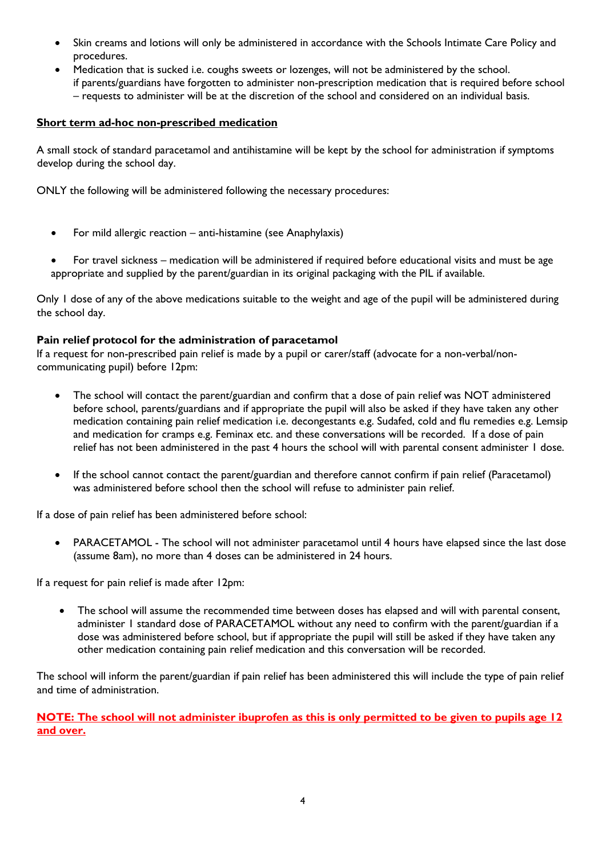- Skin creams and lotions will only be administered in accordance with the Schools Intimate Care Policy and procedures.
- Medication that is sucked i.e. coughs sweets or lozenges, will not be administered by the school. if parents/guardians have forgotten to administer non-prescription medication that is required before school – requests to administer will be at the discretion of the school and considered on an individual basis.

#### **Short term ad-hoc non-prescribed medication**

A small stock of standard paracetamol and antihistamine will be kept by the school for administration if symptoms develop during the school day.

ONLY the following will be administered following the necessary procedures:

- For mild allergic reaction anti-histamine (see Anaphylaxis)
- For travel sickness medication will be administered if required before educational visits and must be age appropriate and supplied by the parent/guardian in its original packaging with the PIL if available.

Only 1 dose of any of the above medications suitable to the weight and age of the pupil will be administered during the school day.

#### **Pain relief protocol for the administration of paracetamol**

If a request for non-prescribed pain relief is made by a pupil or carer/staff (advocate for a non-verbal/noncommunicating pupil) before 12pm:

- The school will contact the parent/guardian and confirm that a dose of pain relief was NOT administered before school, parents/guardians and if appropriate the pupil will also be asked if they have taken any other medication containing pain relief medication i.e. decongestants e.g. Sudafed, cold and flu remedies e.g. Lemsip and medication for cramps e.g. Feminax etc. and these conversations will be recorded. If a dose of pain relief has not been administered in the past 4 hours the school will with parental consent administer 1 dose.
- If the school cannot contact the parent/guardian and therefore cannot confirm if pain relief (Paracetamol) was administered before school then the school will refuse to administer pain relief.

If a dose of pain relief has been administered before school:

 PARACETAMOL - The school will not administer paracetamol until 4 hours have elapsed since the last dose (assume 8am), no more than 4 doses can be administered in 24 hours.

If a request for pain relief is made after 12pm:

 The school will assume the recommended time between doses has elapsed and will with parental consent, administer 1 standard dose of PARACETAMOL without any need to confirm with the parent/guardian if a dose was administered before school, but if appropriate the pupil will still be asked if they have taken any other medication containing pain relief medication and this conversation will be recorded.

The school will inform the parent/guardian if pain relief has been administered this will include the type of pain relief and time of administration.

**NOTE: The school will not administer ibuprofen as this is only permitted to be given to pupils age 12 and over.**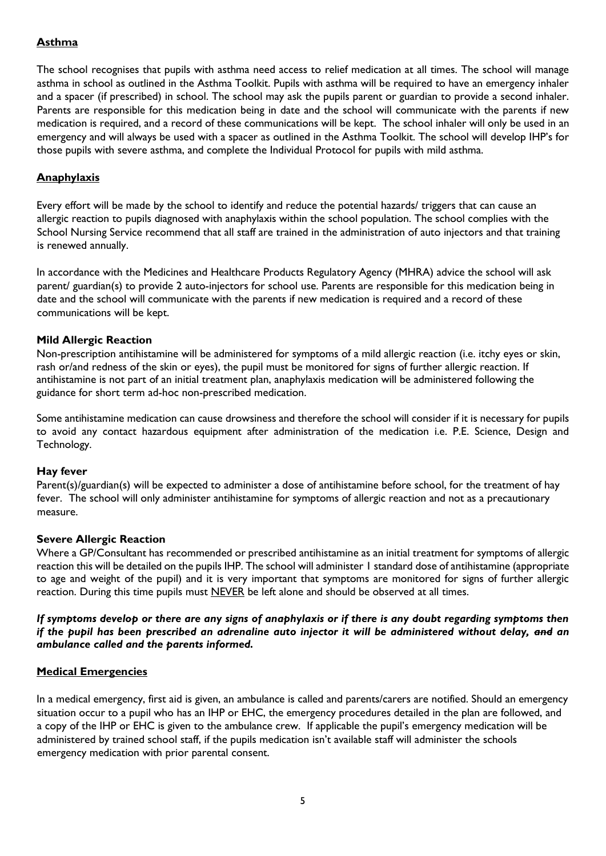#### **Asthma**

The school recognises that pupils with asthma need access to relief medication at all times. The school will manage asthma in school as outlined in the Asthma Toolkit. Pupils with asthma will be required to have an emergency inhaler and a spacer (if prescribed) in school. The school may ask the pupils parent or guardian to provide a second inhaler. Parents are responsible for this medication being in date and the school will communicate with the parents if new medication is required, and a record of these communications will be kept. The school inhaler will only be used in an emergency and will always be used with a spacer as outlined in the Asthma Toolkit. The school will develop IHP's for those pupils with severe asthma, and complete the Individual Protocol for pupils with mild asthma.

#### **Anaphylaxis**

Every effort will be made by the school to identify and reduce the potential hazards/ triggers that can cause an allergic reaction to pupils diagnosed with anaphylaxis within the school population. The school complies with the School Nursing Service recommend that all staff are trained in the administration of auto injectors and that training is renewed annually.

In accordance with the Medicines and Healthcare Products Regulatory Agency (MHRA) advice the school will ask parent/ guardian(s) to provide 2 auto-injectors for school use. Parents are responsible for this medication being in date and the school will communicate with the parents if new medication is required and a record of these communications will be kept.

#### **Mild Allergic Reaction**

Non-prescription antihistamine will be administered for symptoms of a mild allergic reaction (i.e. itchy eyes or skin, rash or/and redness of the skin or eyes), the pupil must be monitored for signs of further allergic reaction. If antihistamine is not part of an initial treatment plan, anaphylaxis medication will be administered following the guidance for short term ad-hoc non-prescribed medication.

Some antihistamine medication can cause drowsiness and therefore the school will consider if it is necessary for pupils to avoid any contact hazardous equipment after administration of the medication i.e. P.E. Science, Design and Technology.

#### **Hay fever**

Parent(s)/guardian(s) will be expected to administer a dose of antihistamine before school, for the treatment of hay fever. The school will only administer antihistamine for symptoms of allergic reaction and not as a precautionary measure.

#### **Severe Allergic Reaction**

Where a GP/Consultant has recommended or prescribed antihistamine as an initial treatment for symptoms of allergic reaction this will be detailed on the pupils IHP. The school will administer 1 standard dose of antihistamine (appropriate to age and weight of the pupil) and it is very important that symptoms are monitored for signs of further allergic reaction. During this time pupils must NEVER be left alone and should be observed at all times.

#### *If symptoms develop or there are any signs of anaphylaxis or if there is any doubt regarding symptoms then if the pupil has been prescribed an adrenaline auto injector it will be administered without delay, and an ambulance called and the parents informed.*

#### **Medical Emergencies**

In a medical emergency, first aid is given, an ambulance is called and parents/carers are notified. Should an emergency situation occur to a pupil who has an IHP or EHC, the emergency procedures detailed in the plan are followed, and a copy of the IHP or EHC is given to the ambulance crew. If applicable the pupil's emergency medication will be administered by trained school staff, if the pupils medication isn't available staff will administer the schools emergency medication with prior parental consent.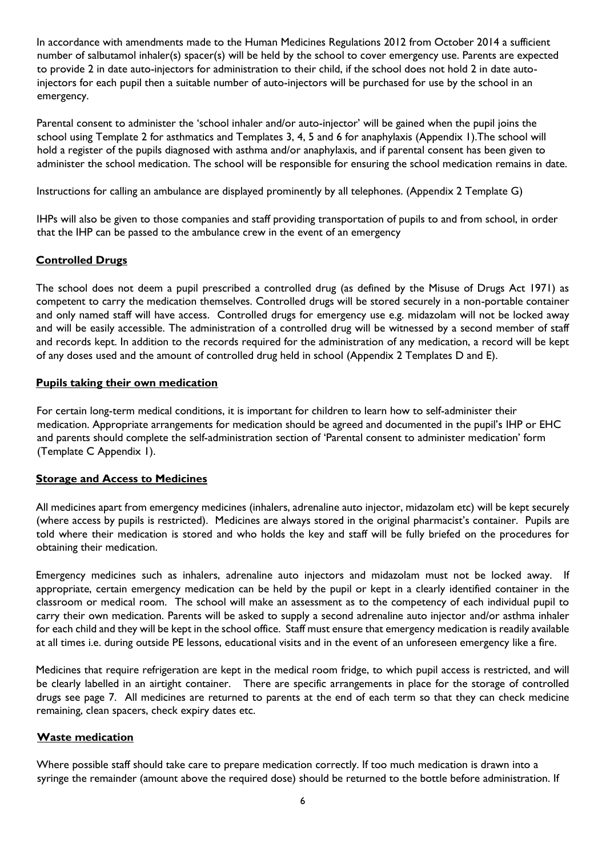In accordance with amendments made to the Human Medicines Regulations 2012 from October 2014 a sufficient number of salbutamol inhaler(s) spacer(s) will be held by the school to cover emergency use. Parents are expected to provide 2 in date auto-injectors for administration to their child, if the school does not hold 2 in date autoinjectors for each pupil then a suitable number of auto-injectors will be purchased for use by the school in an emergency.

Parental consent to administer the 'school inhaler and/or auto-injector' will be gained when the pupil joins the school using Template 2 for asthmatics and Templates 3, 4, 5 and 6 for anaphylaxis (Appendix 1).The school will hold a register of the pupils diagnosed with asthma and/or anaphylaxis, and if parental consent has been given to administer the school medication. The school will be responsible for ensuring the school medication remains in date.

Instructions for calling an ambulance are displayed prominently by all telephones. (Appendix 2 Template G)

IHPs will also be given to those companies and staff providing transportation of pupils to and from school, in order that the IHP can be passed to the ambulance crew in the event of an emergency

#### **Controlled Drugs**

The school does not deem a pupil prescribed a controlled drug (as defined by the Misuse of Drugs Act 1971) as competent to carry the medication themselves. Controlled drugs will be stored securely in a non-portable container and only named staff will have access. Controlled drugs for emergency use e.g. midazolam will not be locked away and will be easily accessible. The administration of a controlled drug will be witnessed by a second member of staff and records kept. In addition to the records required for the administration of any medication, a record will be kept of any doses used and the amount of controlled drug held in school (Appendix 2 Templates D and E).

#### **Pupils taking their own medication**

For certain long-term medical conditions, it is important for children to learn how to self-administer their medication. Appropriate arrangements for medication should be agreed and documented in the pupil's IHP or EHC and parents should complete the self-administration section of 'Parental consent to administer medication' form (Template C Appendix 1).

#### **Storage and Access to Medicines**

All medicines apart from emergency medicines (inhalers, adrenaline auto injector, midazolam etc) will be kept securely (where access by pupils is restricted). Medicines are always stored in the original pharmacist's container. Pupils are told where their medication is stored and who holds the key and staff will be fully briefed on the procedures for obtaining their medication.

Emergency medicines such as inhalers, adrenaline auto injectors and midazolam must not be locked away. If appropriate, certain emergency medication can be held by the pupil or kept in a clearly identified container in the classroom or medical room. The school will make an assessment as to the competency of each individual pupil to carry their own medication. Parents will be asked to supply a second adrenaline auto injector and/or asthma inhaler for each child and they will be kept in the school office. Staff must ensure that emergency medication is readily available at all times i.e. during outside PE lessons, educational visits and in the event of an unforeseen emergency like a fire.

Medicines that require refrigeration are kept in the medical room fridge, to which pupil access is restricted, and will be clearly labelled in an airtight container. There are specific arrangements in place for the storage of controlled drugs see page 7. All medicines are returned to parents at the end of each term so that they can check medicine remaining, clean spacers, check expiry dates etc.

#### **Waste medication**

Where possible staff should take care to prepare medication correctly. If too much medication is drawn into a syringe the remainder (amount above the required dose) should be returned to the bottle before administration. If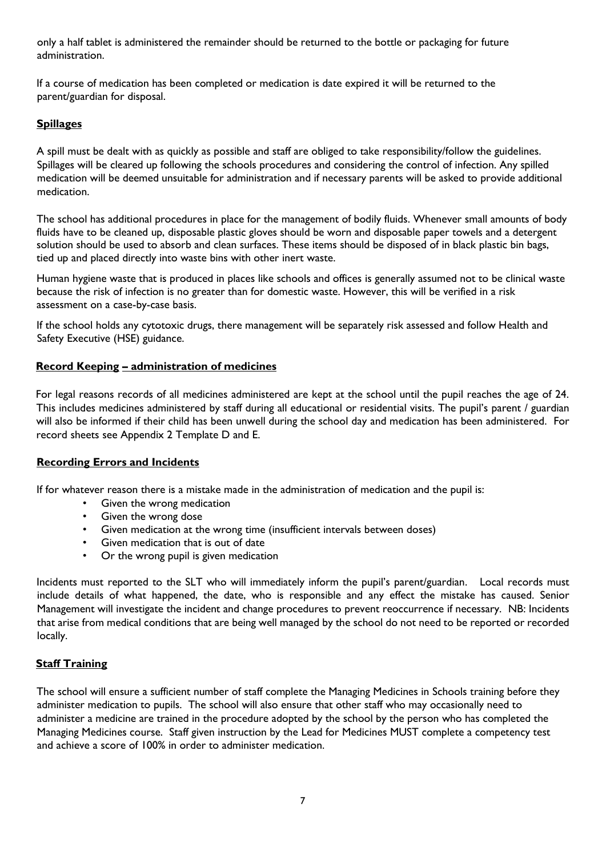only a half tablet is administered the remainder should be returned to the bottle or packaging for future administration.

If a course of medication has been completed or medication is date expired it will be returned to the parent/guardian for disposal.

#### **Spillages**

A spill must be dealt with as quickly as possible and staff are obliged to take responsibility/follow the guidelines. Spillages will be cleared up following the schools procedures and considering the control of infection. Any spilled medication will be deemed unsuitable for administration and if necessary parents will be asked to provide additional medication.

The school has additional procedures in place for the management of bodily fluids. Whenever small amounts of body fluids have to be cleaned up, disposable plastic gloves should be worn and disposable paper towels and a detergent solution should be used to absorb and clean surfaces. These items should be disposed of in black plastic bin bags, tied up and placed directly into waste bins with other inert waste.

Human hygiene waste that is produced in places like schools and offices is generally assumed not to be clinical waste because the risk of infection is no greater than for domestic waste. However, this will be verified in a risk assessment on a case-by-case basis.

If the school holds any cytotoxic drugs, there management will be separately risk assessed and follow Health and Safety Executive (HSE) guidance.

#### **Record Keeping – administration of medicines**

For legal reasons records of all medicines administered are kept at the school until the pupil reaches the age of 24. This includes medicines administered by staff during all educational or residential visits. The pupil's parent / guardian will also be informed if their child has been unwell during the school day and medication has been administered. For record sheets see Appendix 2 Template D and E.

#### **Recording Errors and Incidents**

If for whatever reason there is a mistake made in the administration of medication and the pupil is:

- Given the wrong medication
- Given the wrong dose
- Given medication at the wrong time (insufficient intervals between doses)
- Given medication that is out of date
- Or the wrong pupil is given medication

Incidents must reported to the SLT who will immediately inform the pupil's parent/guardian. Local records must include details of what happened, the date, who is responsible and any effect the mistake has caused. Senior Management will investigate the incident and change procedures to prevent reoccurrence if necessary. NB: Incidents that arise from medical conditions that are being well managed by the school do not need to be reported or recorded locally.

#### **Staff Training**

The school will ensure a sufficient number of staff complete the Managing Medicines in Schools training before they administer medication to pupils. The school will also ensure that other staff who may occasionally need to administer a medicine are trained in the procedure adopted by the school by the person who has completed the Managing Medicines course. Staff given instruction by the Lead for Medicines MUST complete a competency test and achieve a score of 100% in order to administer medication.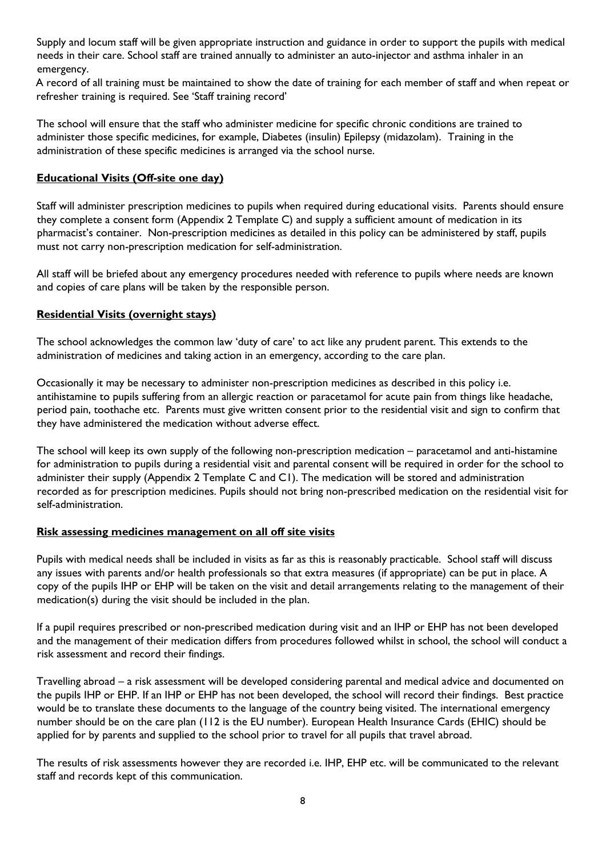Supply and locum staff will be given appropriate instruction and guidance in order to support the pupils with medical needs in their care. School staff are trained annually to administer an auto-injector and asthma inhaler in an emergency.

A record of all training must be maintained to show the date of training for each member of staff and when repeat or refresher training is required. See 'Staff training record'

The school will ensure that the staff who administer medicine for specific chronic conditions are trained to administer those specific medicines, for example, Diabetes (insulin) Epilepsy (midazolam). Training in the administration of these specific medicines is arranged via the school nurse.

#### **Educational Visits (Off-site one day)**

Staff will administer prescription medicines to pupils when required during educational visits. Parents should ensure they complete a consent form (Appendix 2 Template C) and supply a sufficient amount of medication in its pharmacist's container. Non-prescription medicines as detailed in this policy can be administered by staff, pupils must not carry non-prescription medication for self-administration.

All staff will be briefed about any emergency procedures needed with reference to pupils where needs are known and copies of care plans will be taken by the responsible person.

#### **Residential Visits (overnight stays)**

The school acknowledges the common law 'duty of care' to act like any prudent parent. This extends to the administration of medicines and taking action in an emergency, according to the care plan.

Occasionally it may be necessary to administer non-prescription medicines as described in this policy i.e. antihistamine to pupils suffering from an allergic reaction or paracetamol for acute pain from things like headache, period pain, toothache etc. Parents must give written consent prior to the residential visit and sign to confirm that they have administered the medication without adverse effect.

The school will keep its own supply of the following non-prescription medication – paracetamol and anti-histamine for administration to pupils during a residential visit and parental consent will be required in order for the school to administer their supply (Appendix 2 Template C and C1). The medication will be stored and administration recorded as for prescription medicines. Pupils should not bring non-prescribed medication on the residential visit for self-administration.

#### **Risk assessing medicines management on all off site visits**

Pupils with medical needs shall be included in visits as far as this is reasonably practicable. School staff will discuss any issues with parents and/or health professionals so that extra measures (if appropriate) can be put in place. A copy of the pupils IHP or EHP will be taken on the visit and detail arrangements relating to the management of their medication(s) during the visit should be included in the plan.

If a pupil requires prescribed or non-prescribed medication during visit and an IHP or EHP has not been developed and the management of their medication differs from procedures followed whilst in school, the school will conduct a risk assessment and record their findings.

Travelling abroad – a risk assessment will be developed considering parental and medical advice and documented on the pupils IHP or EHP. If an IHP or EHP has not been developed, the school will record their findings. Best practice would be to translate these documents to the language of the country being visited. The international emergency number should be on the care plan (112 is the EU number). European Health Insurance Cards (EHIC) should be applied for by parents and supplied to the school prior to travel for all pupils that travel abroad.

The results of risk assessments however they are recorded i.e. IHP, EHP etc. will be communicated to the relevant staff and records kept of this communication.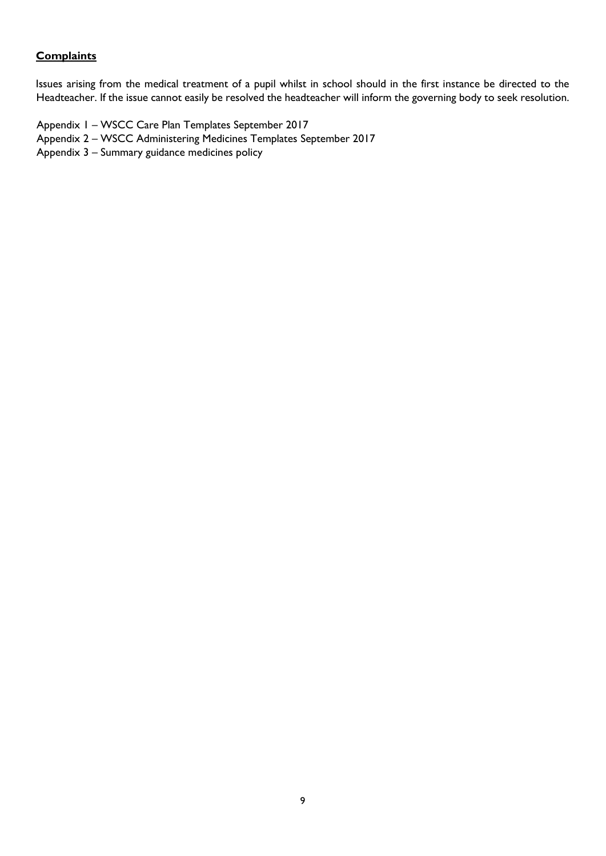#### **Complaints**

Issues arising from the medical treatment of a pupil whilst in school should in the first instance be directed to the Headteacher. If the issue cannot easily be resolved the headteacher will inform the governing body to seek resolution.

Appendix 1 – WSCC Care Plan Templates September 2017

- Appendix 2 WSCC Administering Medicines Templates September 2017
- Appendix 3 Summary guidance medicines policy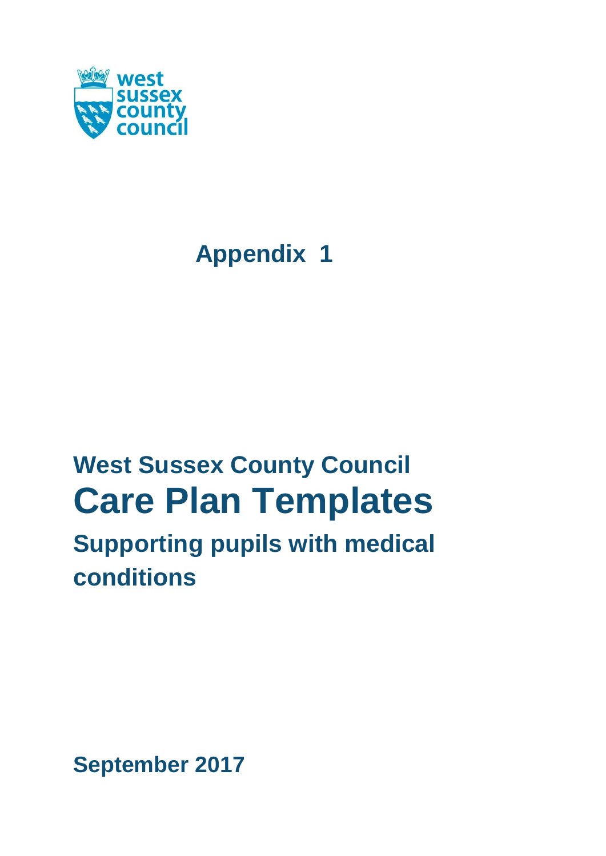

# **Appendix 1**

# **West Sussex County Council Care Plan Templates Supporting pupils with medical**

# **conditions**

**September 2017**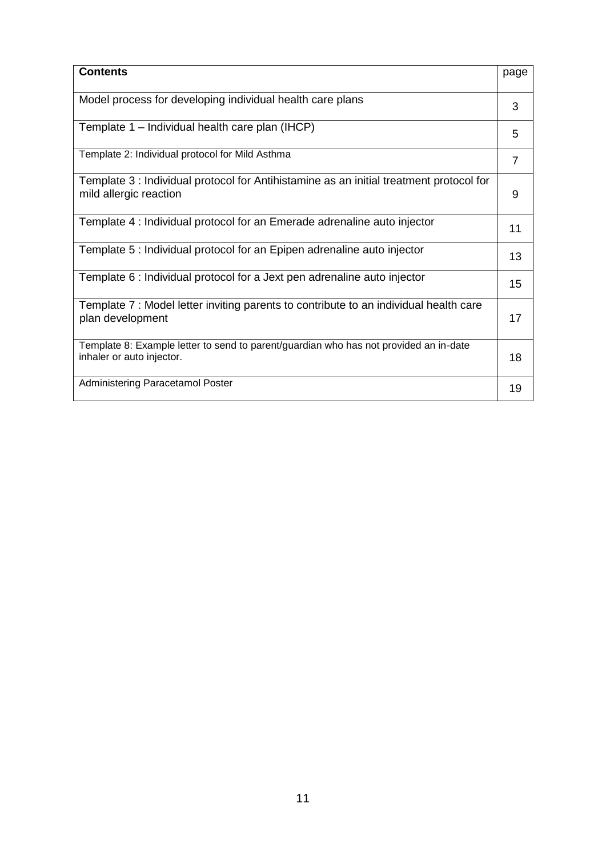| <b>Contents</b>                                                                                                    | page |
|--------------------------------------------------------------------------------------------------------------------|------|
| Model process for developing individual health care plans                                                          | 3    |
| Template 1 - Individual health care plan (IHCP)                                                                    | 5    |
| Template 2: Individual protocol for Mild Asthma                                                                    | 7    |
| Template 3 : Individual protocol for Antihistamine as an initial treatment protocol for<br>mild allergic reaction  | 9    |
| Template 4 : Individual protocol for an Emerade adrenaline auto injector                                           | 11   |
| Template 5 : Individual protocol for an Epipen adrenaline auto injector                                            | 13   |
| Template 6 : Individual protocol for a Jext pen adrenaline auto injector                                           | 15   |
| Template 7: Model letter inviting parents to contribute to an individual health care<br>plan development           | 17   |
| Template 8: Example letter to send to parent/guardian who has not provided an in-date<br>inhaler or auto injector. | 18   |
| Administering Paracetamol Poster                                                                                   | 19   |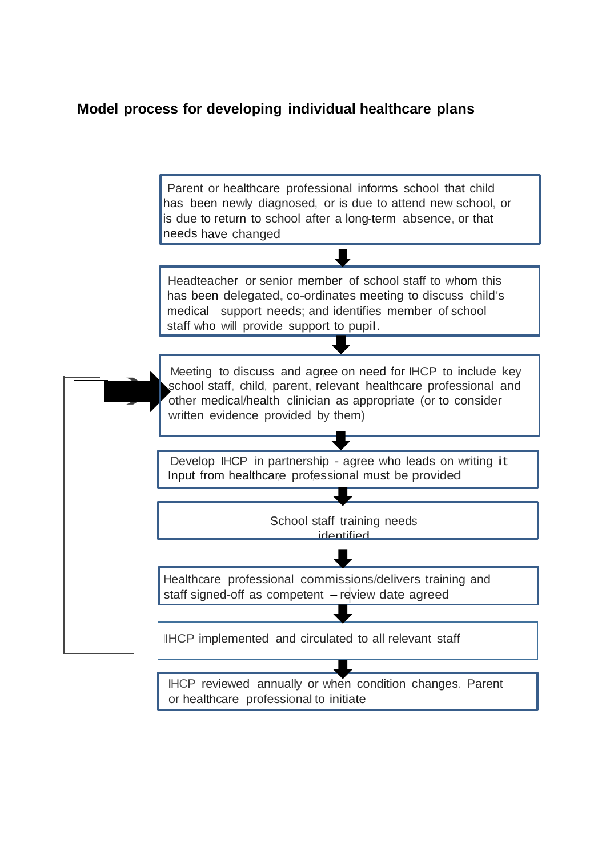# **Model process for developing individual healthcare plans**

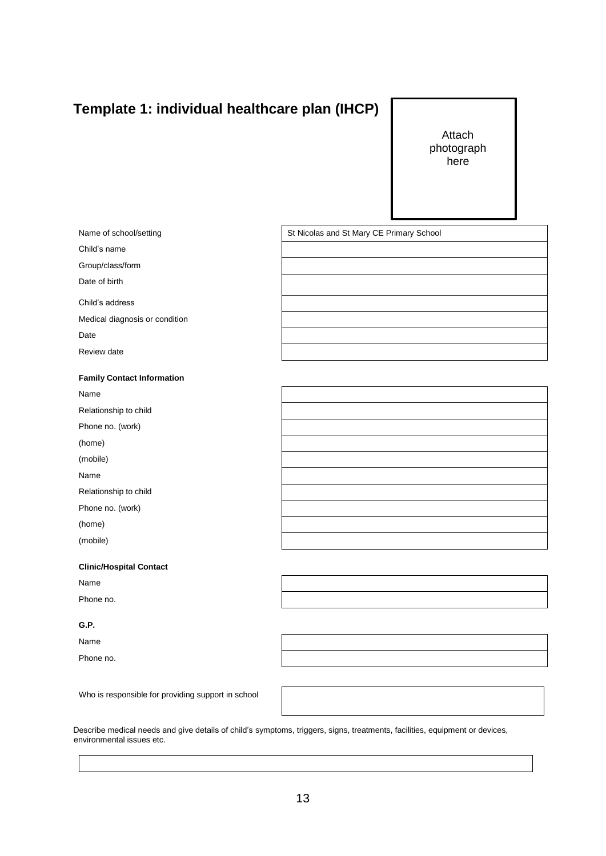# **Template 1: individual healthcare plan (IHCP)**

Attach photograph here

| Name of school/setting            | St Nicolas and St Mary CE Primary School |
|-----------------------------------|------------------------------------------|
| Child's name                      |                                          |
| Group/class/form                  |                                          |
| Date of birth                     |                                          |
| Child's address                   |                                          |
| Medical diagnosis or condition    |                                          |
| Date                              |                                          |
| Review date                       |                                          |
|                                   |                                          |
| <b>Family Contact Information</b> |                                          |
| Name                              |                                          |
| Relationship to child             |                                          |
| Phone no. (work)                  |                                          |
| (home)                            |                                          |
| (mobile)                          |                                          |
| Name                              |                                          |
| Relationship to child             |                                          |
| Phone no. (work)                  |                                          |
| (home)                            |                                          |
| (mobile)                          |                                          |
| <b>Clinic/Hospital Contact</b>    |                                          |

Name

Phone no.

#### **G.P.**

Name

Phone no.

Who is responsible for providing support in school

Describe medical needs and give details of child's symptoms, triggers, signs, treatments, facilities, equipment or devices, environmental issues etc.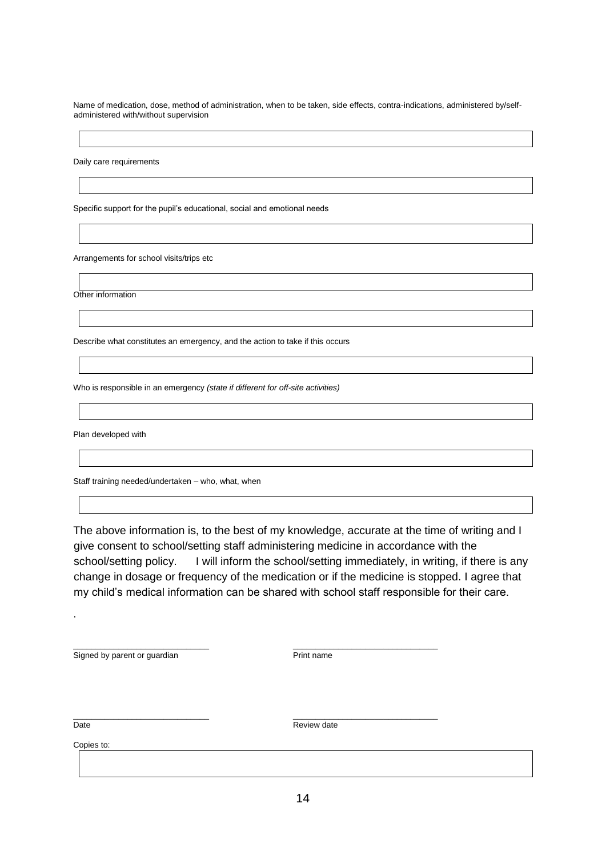Name of medication, dose, method of administration, when to be taken, side effects, contra-indications, administered by/selfadministered with/without supervision

Daily care requirements

Specific support for the pupil's educational, social and emotional needs

Arrangements for school visits/trips etc

Other information

Describe what constitutes an emergency, and the action to take if this occurs

Who is responsible in an emergency *(state if different for off-site activities)*

Plan developed with

Staff training needed/undertaken – who, what, when

The above information is, to the best of my knowledge, accurate at the time of writing and I give consent to school/setting staff administering medicine in accordance with the school/setting policy. I will inform the school/setting immediately, in writing, if there is any change in dosage or frequency of the medication or if the medicine is stopped. I agree that my child's medical information can be shared with school staff responsible for their care.

Signed by parent or guardian Print name

\_\_\_\_\_\_\_\_\_\_\_\_\_\_\_\_\_\_\_\_\_\_\_\_\_\_\_\_\_\_ \_\_\_\_\_\_\_\_\_\_\_\_\_\_\_\_\_\_\_\_\_\_\_\_\_\_\_\_\_\_\_\_

\_\_\_\_\_\_\_\_\_\_\_\_\_\_\_\_\_\_\_\_\_\_\_\_\_\_\_\_\_\_ \_\_\_\_\_\_\_\_\_\_\_\_\_\_\_\_\_\_\_\_\_\_\_\_\_\_\_\_\_\_\_\_

.

Date **Date** Review date

Copies to: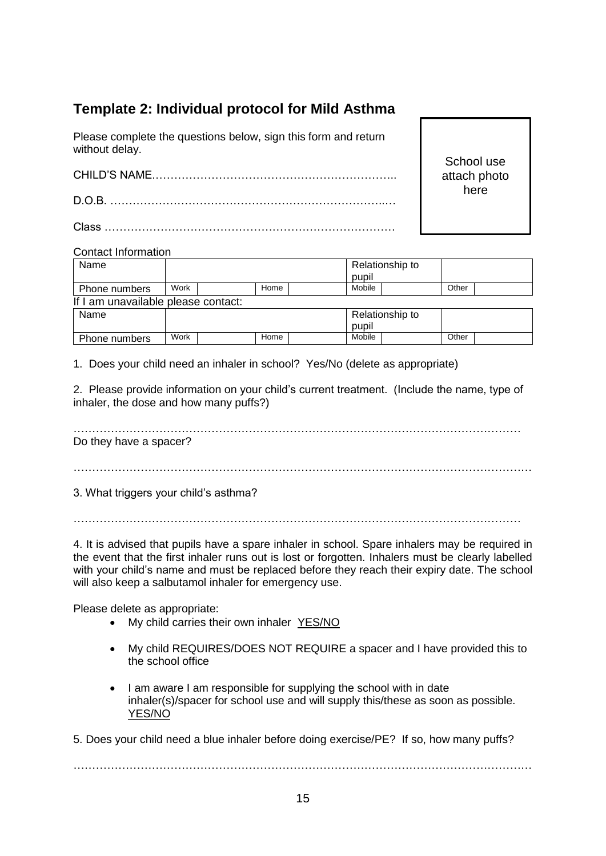# **Template 2: Individual protocol for Mild Asthma**

Please complete the questions below, sign this form and return without delay.

CHILD'S NAME.……………………………………………………….. D.O.B. ………………………………………………………………..… Class ……………………………………………………………………

School use attach photo here

#### Contact Information

| Name                                |      |      |        | Relationship to |       |  |
|-------------------------------------|------|------|--------|-----------------|-------|--|
|                                     |      |      | pupil  |                 |       |  |
| Phone numbers                       | Work | Home | Mobile |                 | Other |  |
| If I am unavailable please contact: |      |      |        |                 |       |  |
| Name                                |      |      |        | Relationship to |       |  |
|                                     |      |      | pupil  |                 |       |  |
| Phone numbers                       | Work | Home | Mobile |                 | Other |  |

1. Does your child need an inhaler in school? Yes/No (delete as appropriate)

2. Please provide information on your child's current treatment. (Include the name, type of inhaler, the dose and how many puffs?)

………………………………………………………………………………………………………… Do they have a spacer?

……………………………………………………………………………………………………………

3. What triggers your child's asthma?

…………………………………………………………………………………………………………

4. It is advised that pupils have a spare inhaler in school. Spare inhalers may be required in the event that the first inhaler runs out is lost or forgotten. Inhalers must be clearly labelled with your child's name and must be replaced before they reach their expiry date. The school will also keep a salbutamol inhaler for emergency use.

Please delete as appropriate:

- My child carries their own inhaler YES/NO
- My child REQUIRES/DOES NOT REQUIRE a spacer and I have provided this to the school office
- I am aware I am responsible for supplying the school with in date inhaler(s)/spacer for school use and will supply this/these as soon as possible. YES/NO

5. Does your child need a blue inhaler before doing exercise/PE? If so, how many puffs?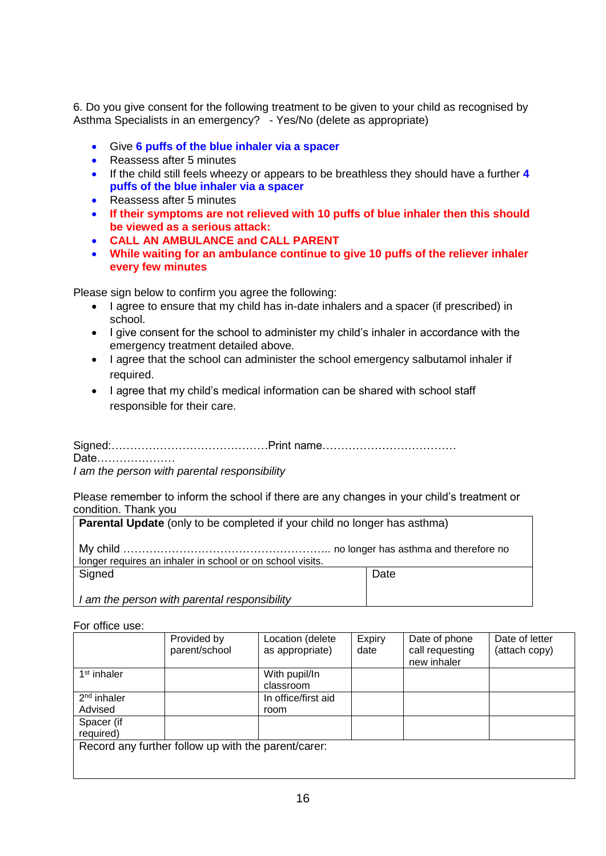6. Do you give consent for the following treatment to be given to your child as recognised by Asthma Specialists in an emergency? - Yes/No (delete as appropriate)

- Give **6 puffs of the blue inhaler via a spacer**
- Reassess after 5 minutes
- If the child still feels wheezy or appears to be breathless they should have a further **4 puffs of the blue inhaler via a spacer**
- Reassess after 5 minutes
- **If their symptoms are not relieved with 10 puffs of blue inhaler then this should be viewed as a serious attack:**
- **CALL AN AMBULANCE and CALL PARENT**
- **While waiting for an ambulance continue to give 10 puffs of the reliever inhaler every few minutes**

Please sign below to confirm you agree the following:

- I agree to ensure that my child has in-date inhalers and a spacer (if prescribed) in school.
- I give consent for the school to administer my child's inhaler in accordance with the emergency treatment detailed above.
- I agree that the school can administer the school emergency salbutamol inhaler if required.
- I agree that my child's medical information can be shared with school staff responsible for their care.

Signed:……………………………………Print name……………………………… Date…………………

*I am the person with parental responsibility*

Please remember to inform the school if there are any changes in your child's treatment or condition. Thank you

| <b>Parental Update</b> (only to be completed if your child no longer has asthma) |      |
|----------------------------------------------------------------------------------|------|
| longer requires an inhaler in school or on school visits.                        |      |
| Signed                                                                           | Date |
| I am the person with parental responsibility                                     |      |

For office use:

|                         | Provided by<br>parent/school                        | Location (delete<br>as appropriate) | Expiry<br>date | Date of phone<br>call requesting<br>new inhaler | Date of letter<br>(attach copy) |
|-------------------------|-----------------------------------------------------|-------------------------------------|----------------|-------------------------------------------------|---------------------------------|
| 1 <sup>st</sup> inhaler |                                                     | With pupil/In<br>classroom          |                |                                                 |                                 |
| $2nd$ inhaler           |                                                     | In office/first aid                 |                |                                                 |                                 |
|                         |                                                     |                                     |                |                                                 |                                 |
| Advised                 |                                                     | room                                |                |                                                 |                                 |
| Spacer (if              |                                                     |                                     |                |                                                 |                                 |
| required)               |                                                     |                                     |                |                                                 |                                 |
|                         | Record any further follow up with the parent/carer: |                                     |                |                                                 |                                 |
|                         |                                                     |                                     |                |                                                 |                                 |
|                         |                                                     |                                     |                |                                                 |                                 |
|                         |                                                     |                                     |                |                                                 |                                 |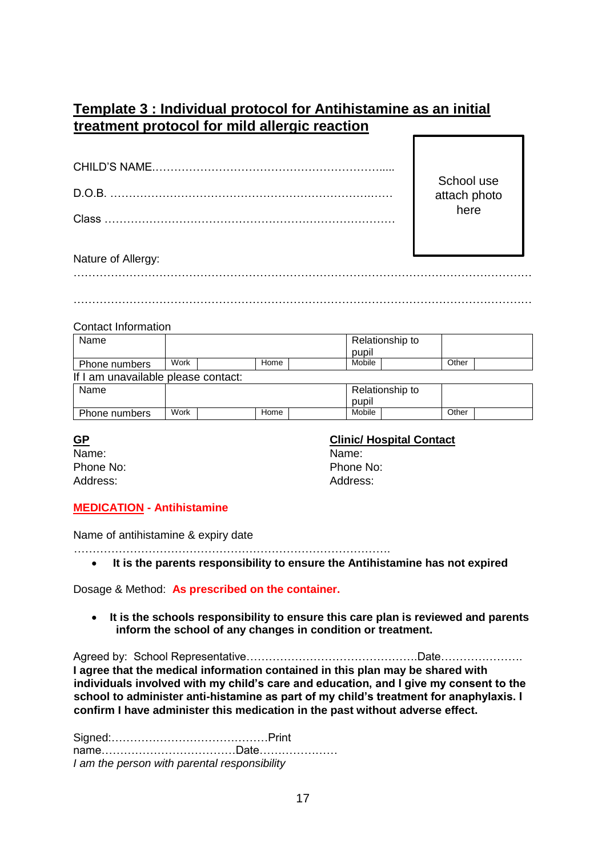## **Template 3 : Individual protocol for Antihistamine as an initial treatment protocol for mild allergic reaction**

School use attach photo here

#### Nature of Allergy:

…………………………………………………………………………………………………………… ……………………………………………………………………………………………………………

#### Contact Information

| Name                                |      |      |        | Relationship to |       |  |
|-------------------------------------|------|------|--------|-----------------|-------|--|
|                                     |      |      | pupil  |                 |       |  |
| Phone numbers                       | Work | Home | Mobile |                 | Other |  |
| If I am unavailable please contact: |      |      |        |                 |       |  |
| Name                                |      |      |        | Relationship to |       |  |
|                                     |      |      | pupil  |                 |       |  |
| Phone numbers                       | Work | Home | Mobile |                 | Other |  |

Name: Name:

#### **GP Clinic/ Hospital Contact**

Phone No: Phone No: Address: Address:

#### **MEDICATION - Antihistamine**

Name of antihistamine & expiry date

…………………………………………………………………………. **It is the parents responsibility to ensure the Antihistamine has not expired**

Dosage & Method: **As prescribed on the container.**

 **It is the schools responsibility to ensure this care plan is reviewed and parents inform the school of any changes in condition or treatment.**

Agreed by: School Representative……………………………………….Date…………………. **I agree that the medical information contained in this plan may be shared with individuals involved with my child's care and education, and I give my consent to the school to administer anti-histamine as part of my child's treatment for anaphylaxis. I confirm I have administer this medication in the past without adverse effect.**

Signed:……………………………………Print name………………………………Date………………… *I am the person with parental responsibility*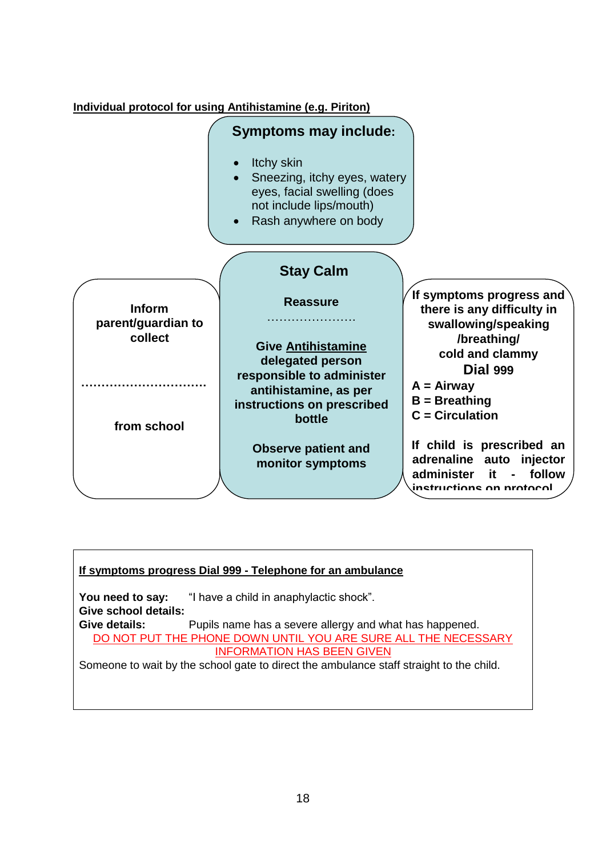

#### **If symptoms progress Dial 999 - Telephone for an ambulance**

You need to say: "I have a child in anaphylactic shock". **Give school details: Give details:** Pupils name has a severe allergy and what has happened. DO NOT PUT THE PHONE DOWN UNTIL YOU ARE SURE ALL THE NECESSARY INFORMATION HAS BEEN GIVEN Someone to wait by the school gate to direct the ambulance staff straight to the child.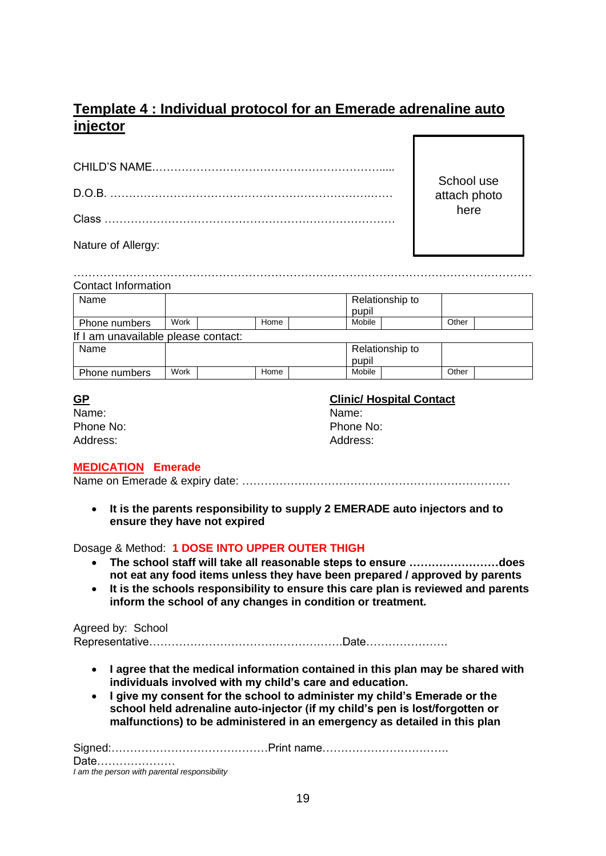# **Template 4 : Individual protocol for an Emerade adrenaline auto injector**

School use attach photo here

Nature of Allergy:

| <b>Contact Information</b>          |      |      |        |                 |       |  |
|-------------------------------------|------|------|--------|-----------------|-------|--|
| Name                                |      |      | pupil  | Relationship to |       |  |
| Phone numbers                       | Work | Home | Mobile |                 | Other |  |
| If I am unavailable please contact: |      |      |        |                 |       |  |
| Name                                |      |      | pupil  | Relationship to |       |  |
| Phone numbers                       | Work | Home | Mobile |                 | Other |  |

| ٩ |
|---|
|   |
|   |

| Name:     | Name:  |
|-----------|--------|
| Phone No: | Phone  |
| Address:  | Addres |

# **Clinic/ Hospital Contact**

Phone No: Address:

#### **MEDICATION Emerade**

Name on Emerade & expiry date: ………………………………………………………………

 **It is the parents responsibility to supply 2 EMERADE auto injectors and to ensure they have not expired**

#### Dosage & Method: **1 DOSE INTO UPPER OUTER THIGH**

- **The school staff will take all reasonable steps to ensure ……………………does not eat any food items unless they have been prepared / approved by parents**
- **It is the schools responsibility to ensure this care plan is reviewed and parents inform the school of any changes in condition or treatment.**

#### Agreed by: School

Representative…………………………………………….Date………………….

- **I agree that the medical information contained in this plan may be shared with individuals involved with my child's care and education.**
- **I give my consent for the school to administer my child's Emerade or the school held adrenaline auto-injector (if my child's pen is lost/forgotten or malfunctions) to be administered in an emergency as detailed in this plan**

Signed:……………………………………Print name……………………………. Date…………………

*I am the person with parental responsibility*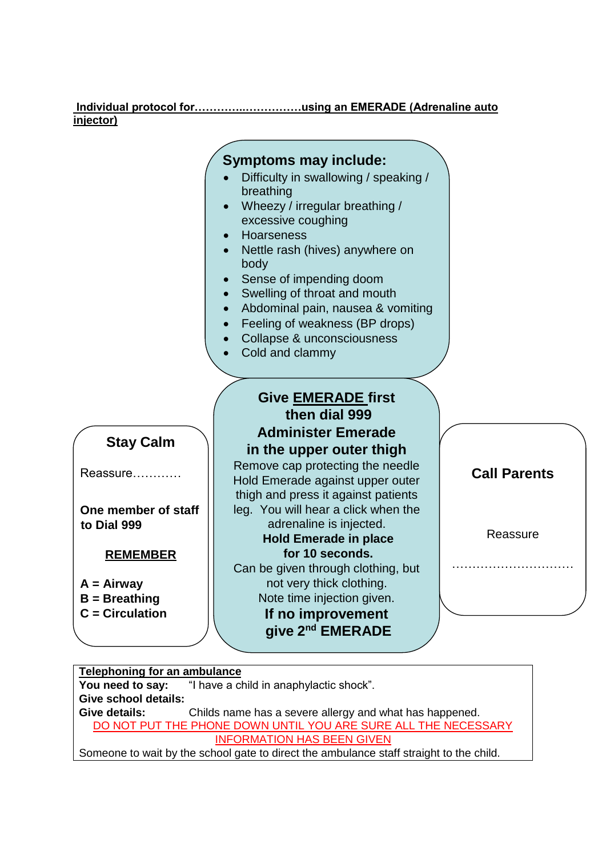#### **Individual protocol for…………..……………using an EMERADE (Adrenaline auto injector)**

#### **Give EMERADE first then dial 999 Administer Emerade in the upper outer thigh** Remove cap protecting the needle Hold Emerade against upper outer thigh and press it against patients leg. You will hear a click when the adrenaline is injected. **Hold Emerade in place for 10 seconds.** Can be given through clothing, but not very thick clothing. Note time injection given. ………………………… **Symptoms may include:** Difficulty in swallowing / speaking / breathing Wheezy / irregular breathing / excessive coughing Hoarseness Nettle rash (hives) anywhere on body Sense of impending doom • Swelling of throat and mouth Abdominal pain, nausea & vomiting • Feeling of weakness (BP drops) Collapse & unconsciousness Cold and clammy **Stay Calm** Reassure………… **One member of staff to Dial 999 REMEMBER A = Airway B = Breathing**

**If no improvement give 2 nd EMERADE**

**5 minutes later** 

**Call Parents**

**Reassure** 

#### **Telephoning for an ambulance**

**C = Circulation**

**You need to say:** "I have a child in anaphylactic shock". **Give school details: Give details:** Childs name has a severe allergy and what has happened. DO NOT PUT THE PHONE DOWN UNTIL YOU ARE SURE ALL THE NECESSARY INFORMATION HAS BEEN GIVEN Someone to wait by the school gate to direct the ambulance staff straight to the child.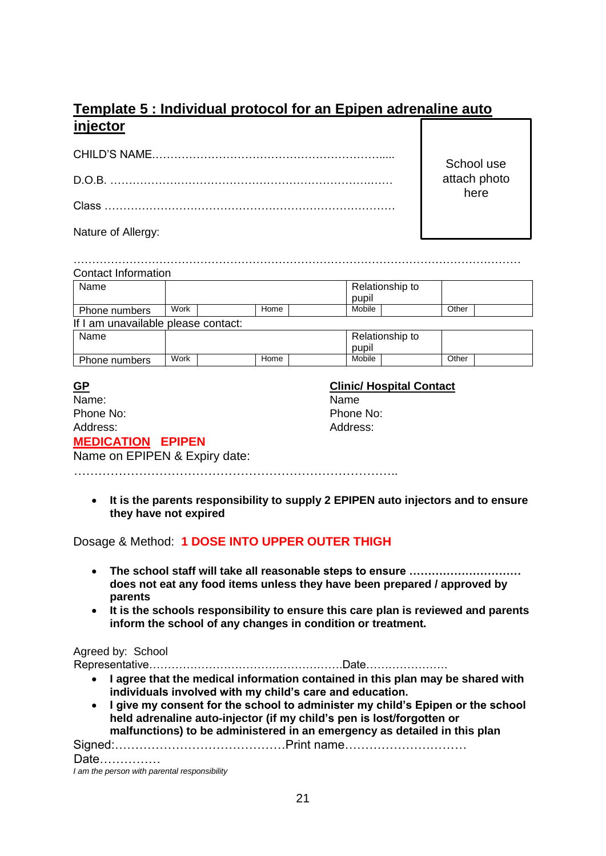# **Template 5 : Individual protocol for an Epipen adrenaline auto injector**

School use attach photo here

Nature of Allergy:

| Name                                |      |      | Relationship to |       |  |
|-------------------------------------|------|------|-----------------|-------|--|
|                                     |      |      | pupil           |       |  |
| Phone numbers                       | Work | Home | Mobile          | Other |  |
| If I am unavailable please contact: |      |      |                 |       |  |
| Name                                |      |      | Relationship to |       |  |
|                                     |      |      | pupil           |       |  |
| Phone numbers                       | Work | Home | Mobile          | Other |  |

| <u>GP</u>                     | <b>Clinic/ Hospital Contact</b> |
|-------------------------------|---------------------------------|
| Name:                         | Name                            |
| Phone No:                     | Phone No:                       |
| Address:                      | Address:                        |
| <b>MEDICATION EPIPEN</b>      |                                 |
| Name on EPIPEN & Expiry date: |                                 |

……………………………………………………………………..

 **It is the parents responsibility to supply 2 EPIPEN auto injectors and to ensure they have not expired**

Dosage & Method: **1 DOSE INTO UPPER OUTER THIGH**

- **The school staff will take all reasonable steps to ensure ………………………… does not eat any food items unless they have been prepared / approved by parents**
- **It is the schools responsibility to ensure this care plan is reviewed and parents inform the school of any changes in condition or treatment.**

#### Agreed by: School

Representative…………………………………………….Date………………….

- **I agree that the medical information contained in this plan may be shared with individuals involved with my child's care and education.**
- **I give my consent for the school to administer my child's Epipen or the school held adrenaline auto-injector (if my child's pen is lost/forgotten or malfunctions) to be administered in an emergency as detailed in this plan**

Signed:……………………………………Print name…………………………

Date……………

*I am the person with parental responsibility*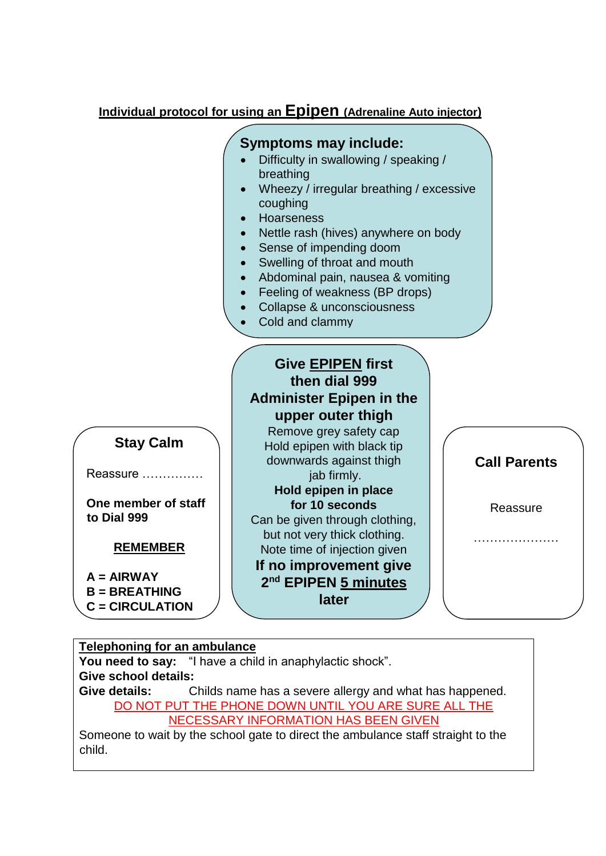## **Individual protocol for using an Epipen (Adrenaline Auto injector)**

#### **Stay Calm** Reassure …………… **One member of staff to Dial 999 REMEMBER A = AIRWAY B = BREATHING C = CIRCULATION Give EPIPEN first then dial 999 Administer Epipen in the upper outer thigh** Remove grey safety cap Hold epipen with black tip downwards against thigh jab firmly. **Hold epipen in place for 10 seconds** Can be given through clothing, but not very thick clothing. Note time of injection given **If no improvement give 2 nd EPIPEN 5 minutes later Call Parents Reassure** ……………… **Symptoms may include:** Difficulty in swallowing / speaking / breathing Wheezy / irregular breathing / excessive coughing • Hoarseness Nettle rash (hives) anywhere on body • Sense of impending doom • Swelling of throat and mouth Abdominal pain, nausea & vomiting • Feeling of weakness (BP drops) Collapse & unconsciousness Cold and clammy Ĭ

## **Telephoning for an ambulance You need to say:** "I have a child in anaphylactic shock". **Give school details: Give details:** Childs name has a severe allergy and what has happened. DO NOT PUT THE PHONE DOWN UNTIL YOU ARE SURE ALL THE NECESSARY INFORMATION HAS BEEN GIVEN

Someone to wait by the school gate to direct the ambulance staff straight to the child.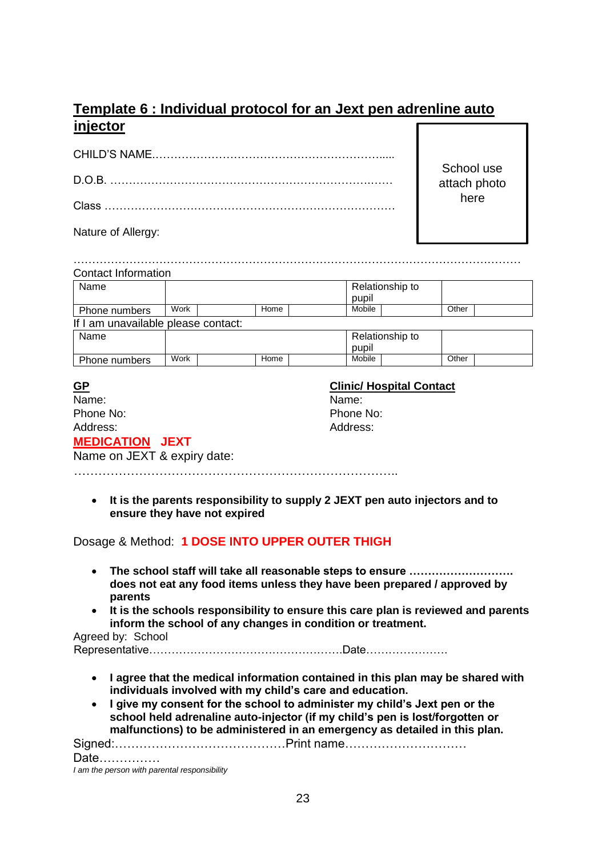# **Template 6 : Individual protocol for an Jext pen adrenline auto injector**

School use attach photo here

Nature of Allergy:

| <b>Contact Information</b>          |      |  |      |  |        |                 |       |  |
|-------------------------------------|------|--|------|--|--------|-----------------|-------|--|
| Name                                |      |  |      |  | pupil  | Relationship to |       |  |
| Phone numbers                       | Work |  | Home |  | Mobile |                 | Other |  |
| If I am unavailable please contact: |      |  |      |  |        |                 |       |  |
| Name                                |      |  |      |  | pupil  | Relationship to |       |  |
| Phone numbers                       | Work |  | Home |  | Mobile |                 | Other |  |

| <u>GP</u>                   | <b>Clinic/ Hospital Contact</b> |
|-----------------------------|---------------------------------|
| Name:                       | Name:                           |
| Phone No:                   | Phone No:                       |
| Address:                    | Address:                        |
| <b>MEDICATION JEXT</b>      |                                 |
| Name on JEXT & expiry date: |                                 |

……………………………………………………………………..

 **It is the parents responsibility to supply 2 JEXT pen auto injectors and to ensure they have not expired**

Dosage & Method: **1 DOSE INTO UPPER OUTER THIGH**

- **The school staff will take all reasonable steps to ensure ………………………. does not eat any food items unless they have been prepared / approved by parents**
- **It is the schools responsibility to ensure this care plan is reviewed and parents inform the school of any changes in condition or treatment.**

Agreed by: School

Representative…………………………………………….Date………………….

- **I agree that the medical information contained in this plan may be shared with individuals involved with my child's care and education.**
- **I give my consent for the school to administer my child's Jext pen or the school held adrenaline auto-injector (if my child's pen is lost/forgotten or malfunctions) to be administered in an emergency as detailed in this plan.**

Signed:……………………………………Print name…………………………

Date……………

*I am the person with parental responsibility*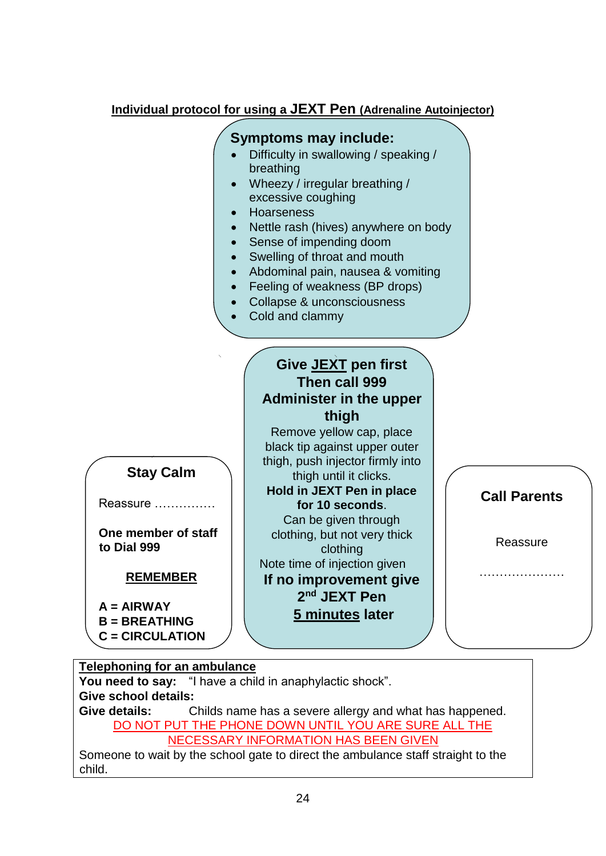# **Individual protocol for using a JEXT Pen (Adrenaline Autoinjector)**

# **Symptoms may include:**

- Difficulty in swallowing / speaking / breathing
- Wheezy / irregular breathing / excessive coughing
- **•** Hoarseness
- Nettle rash (hives) anywhere on body
- Sense of impending doom
- Swelling of throat and mouth
- Abdominal pain, nausea & vomiting
- Feeling of weakness (BP drops)
- Collapse & unconsciousness
	- Cold and clammy

# **Give JEXT pen first Then call 999 Administer in the upper thigh**

Remove yellow cap, place black tip against upper outer thigh, push injector firmly into thigh until it clicks. **Hold in JEXT Pen in place for 10 seconds**. Can be given through clothing, but not very thick clothing Note time of injection given **If no improvement give 2 nd JEXT Pen 5 minutes later**

**Call Parents**

**Reassure** 

…………………

#### **Telephoning for an ambulance**

**Stay Calm**

Reassure ……………

**One member of staff** 

**REMEMBER**

**to Dial 999**

**A = AIRWAY B = BREATHING C = CIRCULATION**

**You need to say:** "I have a child in anaphylactic shock". **Give school details: Give details:** Childs name has a severe allergy and what has happened. DO NOT PUT THE PHONE DOWN UNTIL YOU ARE SURE ALL THE NECESSARY INFORMATION HAS BEEN GIVEN

Someone to wait by the school gate to direct the ambulance staff straight to the child.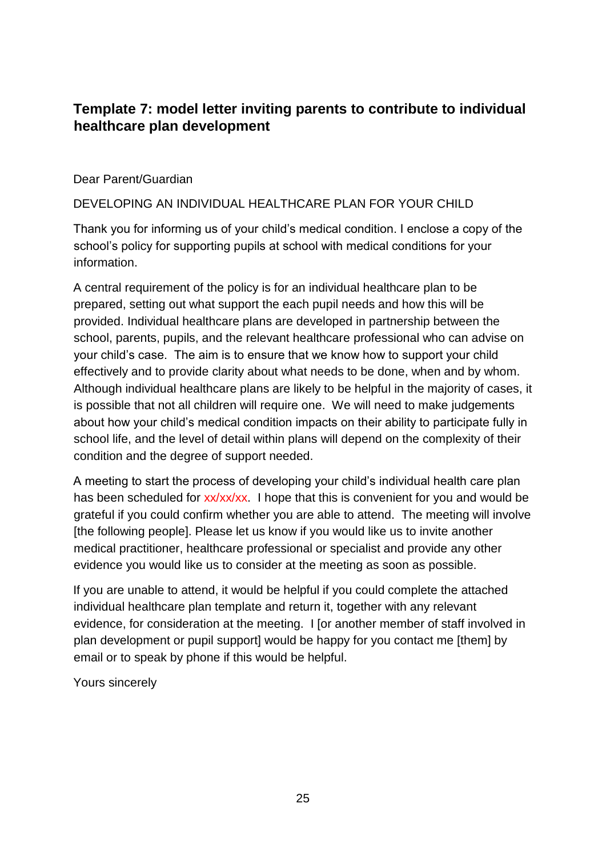# **Template 7: model letter inviting parents to contribute to individual healthcare plan development**

#### Dear Parent/Guardian

#### DEVELOPING AN INDIVIDUAL HEALTHCARE PLAN FOR YOUR CHILD

Thank you for informing us of your child's medical condition. I enclose a copy of the school's policy for supporting pupils at school with medical conditions for your information.

A central requirement of the policy is for an individual healthcare plan to be prepared, setting out what support the each pupil needs and how this will be provided. Individual healthcare plans are developed in partnership between the school, parents, pupils, and the relevant healthcare professional who can advise on your child's case. The aim is to ensure that we know how to support your child effectively and to provide clarity about what needs to be done, when and by whom. Although individual healthcare plans are likely to be helpful in the majority of cases, it is possible that not all children will require one. We will need to make judgements about how your child's medical condition impacts on their ability to participate fully in school life, and the level of detail within plans will depend on the complexity of their condition and the degree of support needed.

A meeting to start the process of developing your child's individual health care plan has been scheduled for xx/xx/xx. I hope that this is convenient for you and would be grateful if you could confirm whether you are able to attend. The meeting will involve [the following people]. Please let us know if you would like us to invite another medical practitioner, healthcare professional or specialist and provide any other evidence you would like us to consider at the meeting as soon as possible.

If you are unable to attend, it would be helpful if you could complete the attached individual healthcare plan template and return it, together with any relevant evidence, for consideration at the meeting. I [or another member of staff involved in plan development or pupil support] would be happy for you contact me [them] by email or to speak by phone if this would be helpful.

Yours sincerely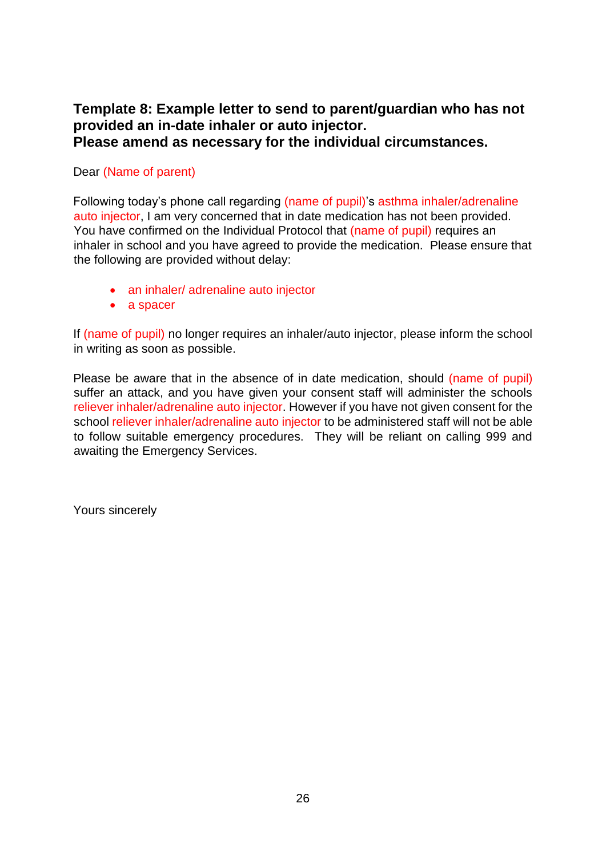## **Template 8: Example letter to send to parent/guardian who has not provided an in-date inhaler or auto injector. Please amend as necessary for the individual circumstances.**

#### Dear (Name of parent)

Following today's phone call regarding (name of pupil)'s asthma inhaler/adrenaline auto injector, I am very concerned that in date medication has not been provided. You have confirmed on the Individual Protocol that (name of pupil) requires an inhaler in school and you have agreed to provide the medication. Please ensure that the following are provided without delay:

- an inhaler/ adrenaline auto injector
- a spacer

If (name of pupil) no longer requires an inhaler/auto injector, please inform the school in writing as soon as possible.

Please be aware that in the absence of in date medication, should (name of pupil) suffer an attack, and you have given your consent staff will administer the schools reliever inhaler/adrenaline auto injector. However if you have not given consent for the school reliever inhaler/adrenaline auto injector to be administered staff will not be able to follow suitable emergency procedures. They will be reliant on calling 999 and awaiting the Emergency Services.

Yours sincerely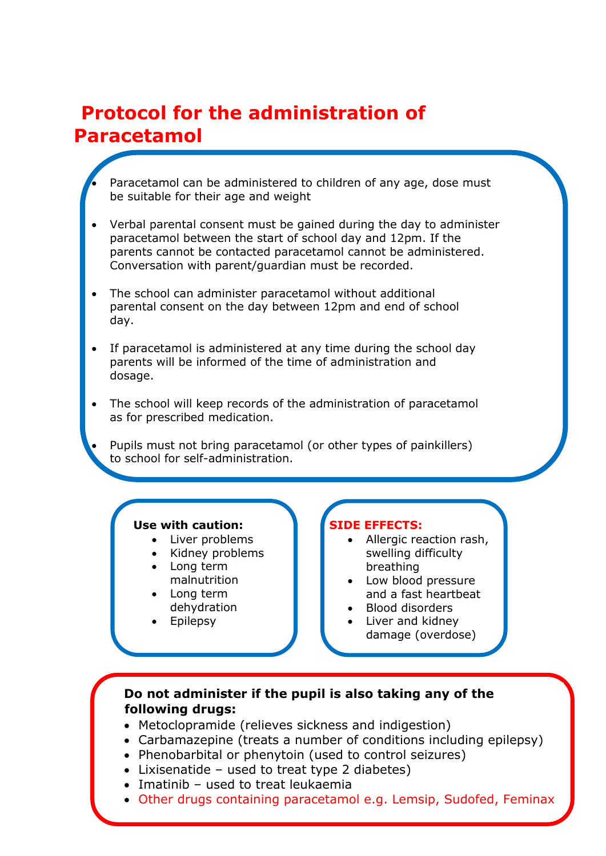# **Protocol for the administration of Paracetamol**

- Paracetamol can be administered to children of any age, dose must be suitable for their age and weight
- Verbal parental consent must be gained during the day to administer paracetamol between the start of school day and 12pm. If the parents cannot be contacted paracetamol cannot be administered. Conversation with parent/guardian must be recorded.
- The school can administer paracetamol without additional parental consent on the day between 12pm and end of school day.
- If paracetamol is administered at any time during the school day parents will be informed of the time of administration and dosage.
- The school will keep records of the administration of paracetamol as for prescribed medication.
	- Pupils must not bring paracetamol (or other types of painkillers) to school for self-administration.

#### **Use with caution:**

- Liver problems
- Kidney problems
- Long term malnutrition
- Long term dehydration
- Epilepsy
- 

#### **SIDE EFFECTS:**

- Allergic reaction rash, swelling difficulty breathing
- Low blood pressure and a fast heartbeat
- Blood disorders
- Liver and kidney damage (overdose)

#### **Do not administer if the pupil is also taking any of the following drugs:**

- Metoclopramide (relieves sickness and indigestion)
- Carbamazepine (treats a number of conditions including epilepsy)
- Phenobarbital or phenytoin (used to control seizures)
- Lixisenatide used to treat type 2 diabetes)
- Imatinib used to treat leukaemia
- Other drugs containing paracetamol e.g. Lemsip, Sudofed, Feminax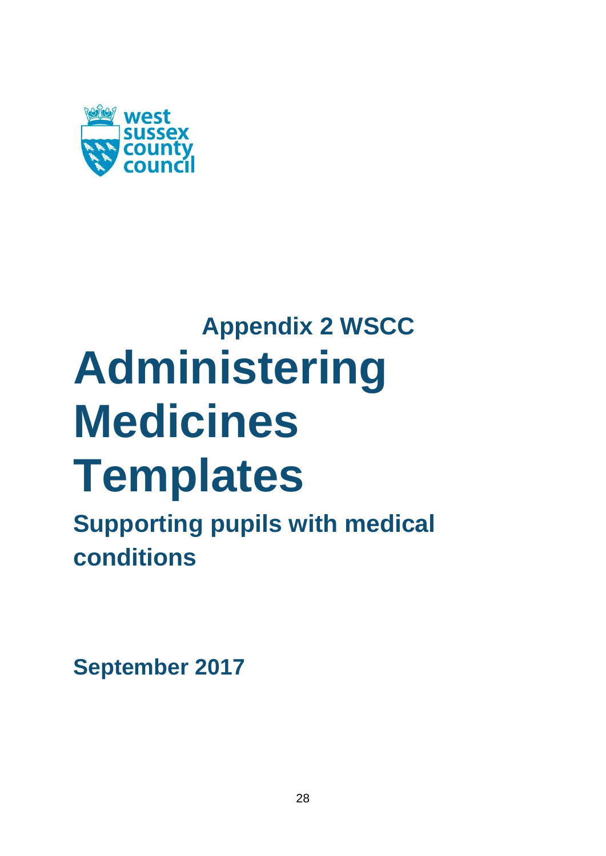

# **Appendix 2 WSCC Administering Medicines Templates**

**Supporting pupils with medical conditions**

**September 2017**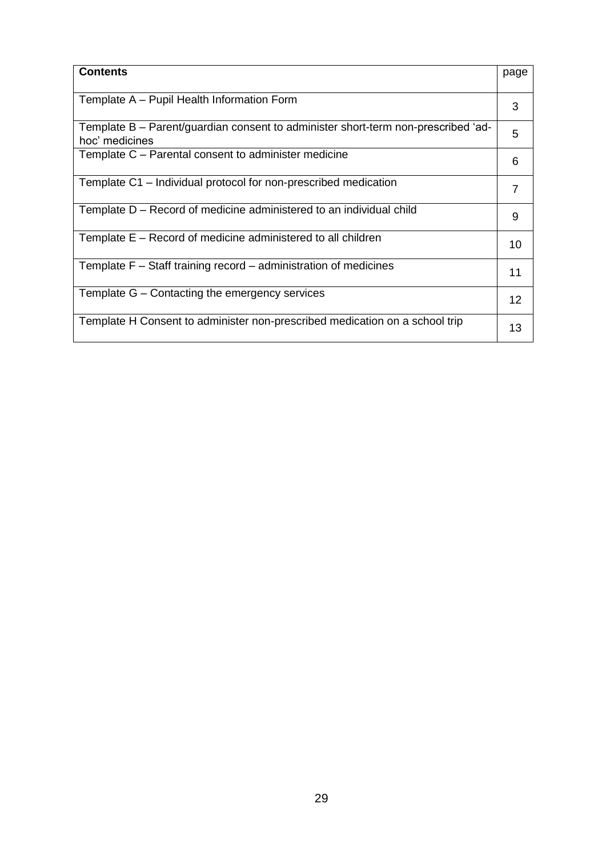| <b>Contents</b>                                                                                     | page |
|-----------------------------------------------------------------------------------------------------|------|
| Template A - Pupil Health Information Form                                                          | 3    |
| Template B - Parent/guardian consent to administer short-term non-prescribed 'ad-<br>hoc' medicines | 5    |
| Template C - Parental consent to administer medicine                                                | 6    |
| Template C1 – Individual protocol for non-prescribed medication                                     | 7    |
| Template D – Record of medicine administered to an individual child                                 | 9    |
| Template E – Record of medicine administered to all children                                        | 10   |
| Template F – Staff training record – administration of medicines                                    | 11   |
| Template G - Contacting the emergency services                                                      | 12   |
| Template H Consent to administer non-prescribed medication on a school trip                         | 13   |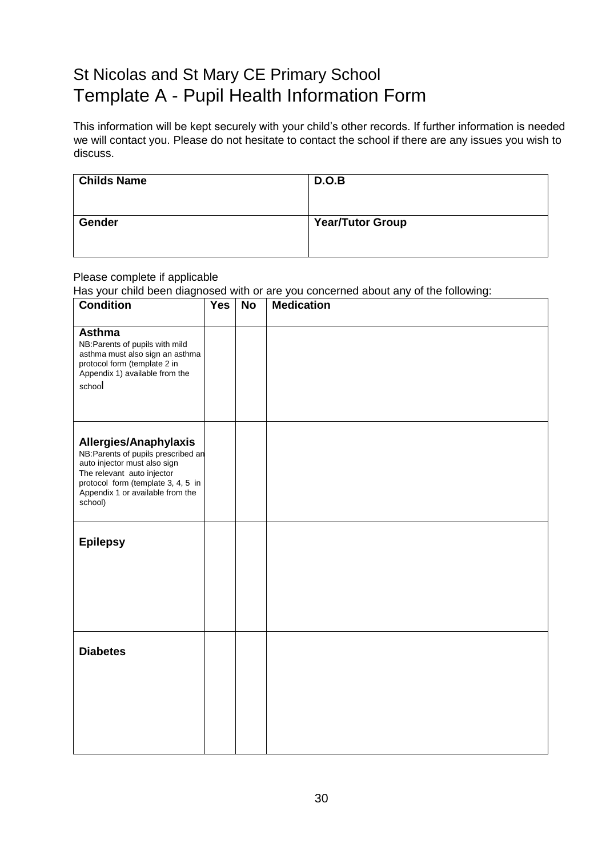# St Nicolas and St Mary CE Primary School Template A - Pupil Health Information Form

This information will be kept securely with your child's other records. If further information is needed we will contact you. Please do not hesitate to contact the school if there are any issues you wish to discuss.

| <b>Childs Name</b> | D.O.B                   |
|--------------------|-------------------------|
| <b>Gender</b>      | <b>Year/Tutor Group</b> |

#### Please complete if applicable

Has your child been diagnosed with or are you concerned about any of the following:

| <b>Condition</b>                                                                                                                                                                                                | <b>Yes</b> | <b>No</b> | <b>Medication</b> |
|-----------------------------------------------------------------------------------------------------------------------------------------------------------------------------------------------------------------|------------|-----------|-------------------|
| <b>Asthma</b><br>NB: Parents of pupils with mild<br>asthma must also sign an asthma<br>protocol form (template 2 in<br>Appendix 1) available from the<br>school                                                 |            |           |                   |
| Allergies/Anaphylaxis<br>NB: Parents of pupils prescribed an<br>auto injector must also sign<br>The relevant auto injector<br>protocol form (template 3, 4, 5 in<br>Appendix 1 or available from the<br>school) |            |           |                   |
| <b>Epilepsy</b>                                                                                                                                                                                                 |            |           |                   |
| <b>Diabetes</b>                                                                                                                                                                                                 |            |           |                   |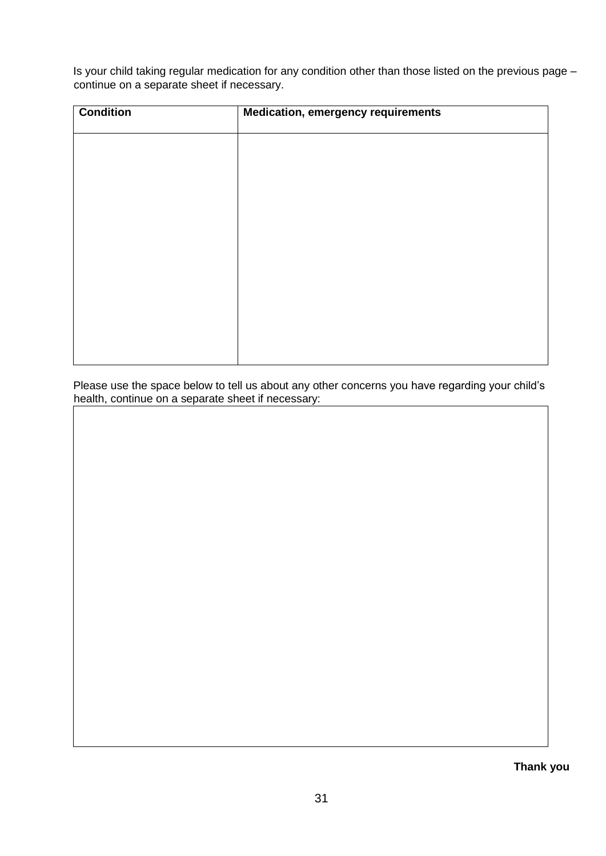Is your child taking regular medication for any condition other than those listed on the previous page – continue on a separate sheet if necessary.

| <b>Condition</b> | <b>Medication, emergency requirements</b> |
|------------------|-------------------------------------------|
|                  |                                           |
|                  |                                           |
|                  |                                           |
|                  |                                           |
|                  |                                           |
|                  |                                           |
|                  |                                           |
|                  |                                           |
|                  |                                           |

Please use the space below to tell us about any other concerns you have regarding your child's health, continue on a separate sheet if necessary:

**Thank you**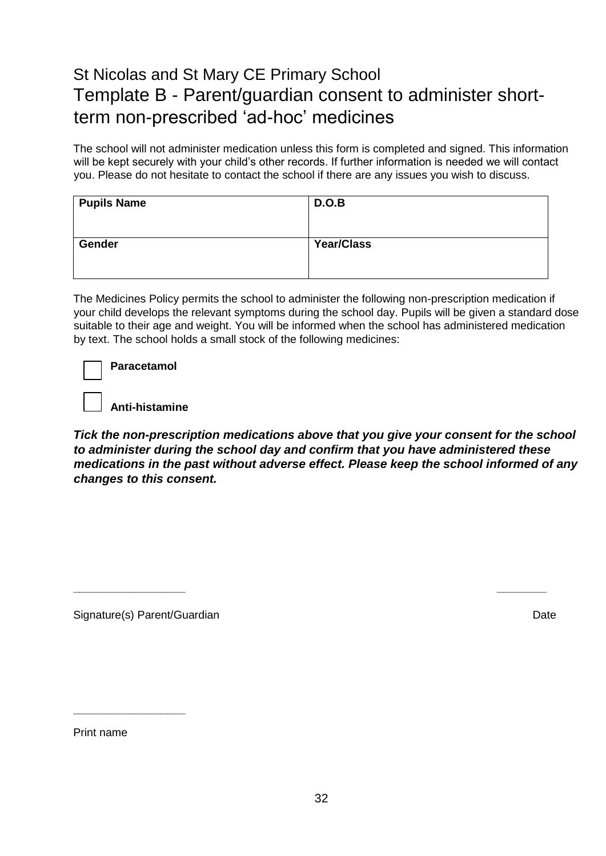# St Nicolas and St Mary CE Primary School Template B - Parent/guardian consent to administer shortterm non-prescribed 'ad-hoc' medicines

The school will not administer medication unless this form is completed and signed. This information will be kept securely with your child's other records. If further information is needed we will contact you. Please do not hesitate to contact the school if there are any issues you wish to discuss.

| <b>Pupils Name</b> | D.O.B             |
|--------------------|-------------------|
| Gender             | <b>Year/Class</b> |

The Medicines Policy permits the school to administer the following non-prescription medication if your child develops the relevant symptoms during the school day. Pupils will be given a standard dose suitable to their age and weight. You will be informed when the school has administered medication by text. The school holds a small stock of the following medicines:

**Anti-histamine**

*Tick the non-prescription medications above that you give your consent for the school to administer during the school day and confirm that you have administered these medications in the past without adverse effect. Please keep the school informed of any changes to this consent.*

**\_\_\_\_\_\_\_\_\_\_\_\_\_\_\_\_\_\_ \_\_\_\_\_\_\_\_**

Signature(s) Parent/Guardian **Date** Date of the Signature of the Date Date of the Date of the Date of the Date of the Date of the Date of the Date of the Date of the Date of the Date of the Date of the Date of the Date of

Print name

**\_\_\_\_\_\_\_\_\_\_\_\_\_\_\_\_\_\_**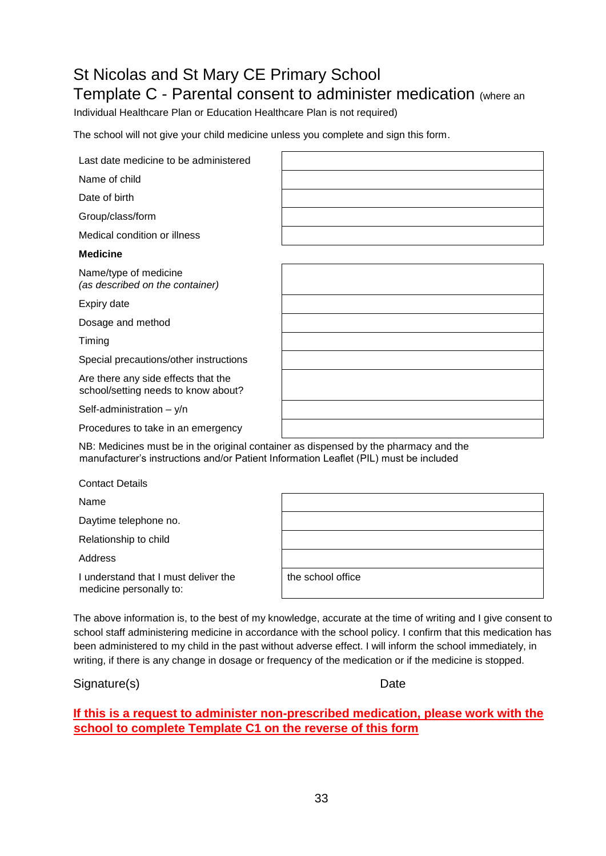# St Nicolas and St Mary CE Primary School Template C - Parental consent to administer medication (where an

Individual Healthcare Plan or Education Healthcare Plan is not required)

The school will not give your child medicine unless you complete and sign this form.

| Last date medicine to be administered                                                |  |
|--------------------------------------------------------------------------------------|--|
| Name of child                                                                        |  |
| Date of birth                                                                        |  |
| Group/class/form                                                                     |  |
| Medical condition or illness                                                         |  |
| <b>Medicine</b>                                                                      |  |
| Name/type of medicine<br>(as described on the container)                             |  |
| Expiry date                                                                          |  |
| Dosage and method                                                                    |  |
| Timing                                                                               |  |
| Special precautions/other instructions                                               |  |
| Are there any side effects that the<br>school/setting needs to know about?           |  |
| Self-administration $- y/n$                                                          |  |
| Procedures to take in an emergency                                                   |  |
| NB: Medicines must be in the original container as dispensed by the pharmacy and the |  |

NB: Medicines must be in the original container as dispensed by the pharmacy and the manufacturer's instructions and/or Patient Information Leaflet (PIL) must be included

| <b>Contact Details</b>                                          |                   |
|-----------------------------------------------------------------|-------------------|
| Name                                                            |                   |
| Daytime telephone no.                                           |                   |
| Relationship to child                                           |                   |
| Address                                                         |                   |
| I understand that I must deliver the<br>medicine personally to: | the school office |
|                                                                 |                   |

The above information is, to the best of my knowledge, accurate at the time of writing and I give consent to school staff administering medicine in accordance with the school policy. I confirm that this medication has been administered to my child in the past without adverse effect. I will inform the school immediately, in writing, if there is any change in dosage or frequency of the medication or if the medicine is stopped.

#### Signature(s) Date

**If this is a request to administer non-prescribed medication, please work with the school to complete Template C1 on the reverse of this form**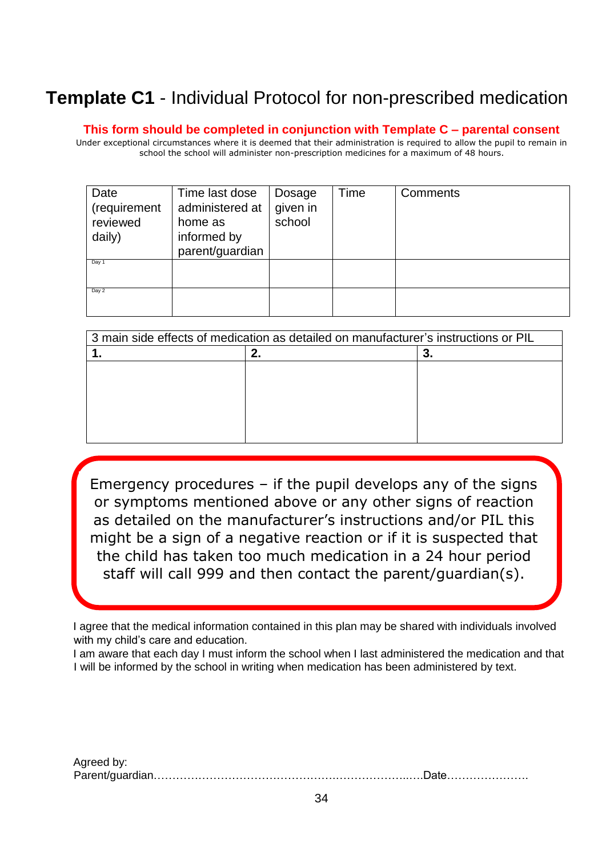# **Template C1** - Individual Protocol for non-prescribed medication

**This form should be completed in conjunction with Template C – parental consent**

Under exceptional circumstances where it is deemed that their administration is required to allow the pupil to remain in school the school will administer non-prescription medicines for a maximum of 48 hours.

| Date<br>(requirement<br>reviewed<br>daily) | Time last dose<br>administered at<br>home as<br>informed by<br>parent/guardian | Dosage<br>given in<br>school | Time | <b>Comments</b> |
|--------------------------------------------|--------------------------------------------------------------------------------|------------------------------|------|-----------------|
| Day 1                                      |                                                                                |                              |      |                 |
| Day 2                                      |                                                                                |                              |      |                 |

| 3 main side effects of medication as detailed on manufacturer's instructions or PIL |  |  |  |
|-------------------------------------------------------------------------------------|--|--|--|
|                                                                                     |  |  |  |
|                                                                                     |  |  |  |
|                                                                                     |  |  |  |
|                                                                                     |  |  |  |
|                                                                                     |  |  |  |
|                                                                                     |  |  |  |
|                                                                                     |  |  |  |

Emergency procedures – if the pupil develops any of the signs or symptoms mentioned above or any other signs of reaction as detailed on the manufacturer's instructions and/or PIL this might be a sign of a negative reaction or if it is suspected that the child has taken too much medication in a 24 hour period staff will call 999 and then contact the parent/guardian(s).

I

I agree that the medical information contained in this plan may be shared with individuals involved with my child's care and education.

I am aware that each day I must inform the school when I last administered the medication and that I will be informed by the school in writing when medication has been administered by text.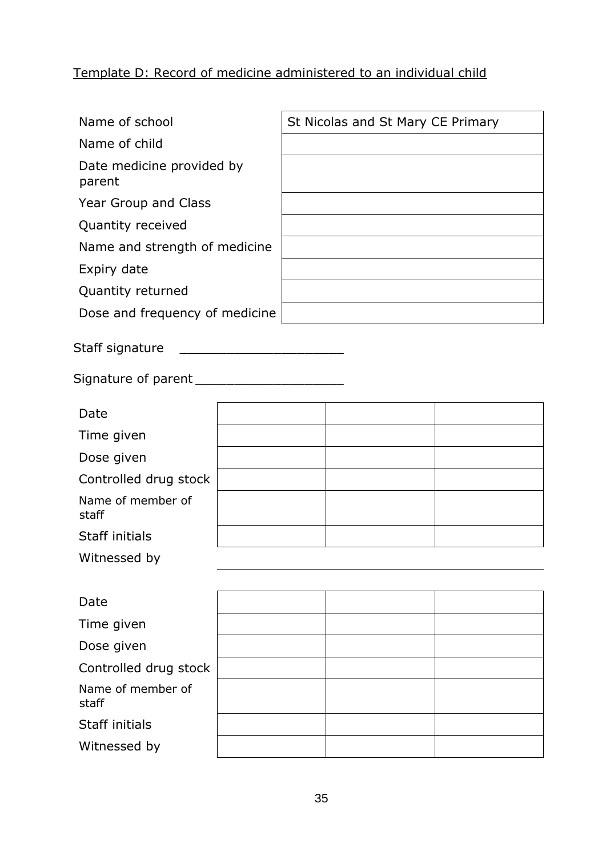# Template D: Record of medicine administered to an individual child

| Name of school                      |  | St Nicolas and St Mary CE Primary |  |
|-------------------------------------|--|-----------------------------------|--|
| Name of child                       |  |                                   |  |
| Date medicine provided by<br>parent |  |                                   |  |
| Year Group and Class                |  |                                   |  |
| Quantity received                   |  |                                   |  |
| Name and strength of medicine       |  |                                   |  |
| Expiry date                         |  |                                   |  |
| Quantity returned                   |  |                                   |  |
| Dose and frequency of medicine      |  |                                   |  |
|                                     |  |                                   |  |
| Staff signature                     |  |                                   |  |
|                                     |  |                                   |  |
| Date                                |  |                                   |  |
| Time given                          |  |                                   |  |
| Dose given                          |  |                                   |  |
| Controlled drug stock               |  |                                   |  |
| Name of member of<br>staff          |  |                                   |  |
| Staff initials                      |  |                                   |  |
| Witnessed by                        |  |                                   |  |
|                                     |  |                                   |  |
| Date                                |  |                                   |  |
| Time given                          |  |                                   |  |
| Dose given                          |  |                                   |  |
| Controlled drug stock               |  |                                   |  |
| Name of member of<br>staff          |  |                                   |  |
| Staff initials                      |  |                                   |  |
| Witnessed by                        |  |                                   |  |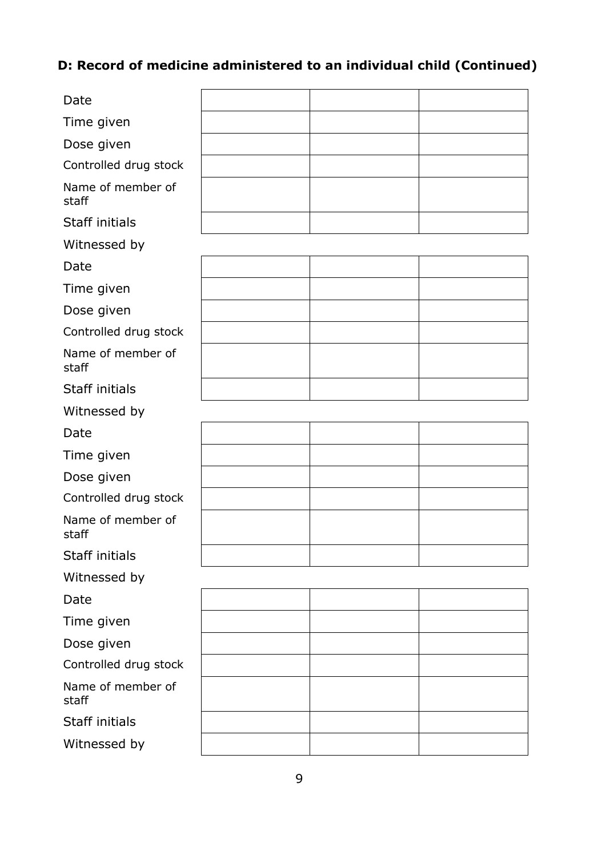# **D: Record of medicine administered to an individual child (Continued)**

| Date                       |  |  |
|----------------------------|--|--|
| Time given                 |  |  |
| Dose given                 |  |  |
| Controlled drug stock      |  |  |
| Name of member of<br>staff |  |  |
| <b>Staff initials</b>      |  |  |
| Witnessed by               |  |  |
| Date                       |  |  |
| Time given                 |  |  |
| Dose given                 |  |  |
| Controlled drug stock      |  |  |
| Name of member of<br>staff |  |  |
| <b>Staff initials</b>      |  |  |
| Witnessed by               |  |  |
| Date                       |  |  |
| Time given                 |  |  |
| Dose given                 |  |  |
| Controlled drug stock      |  |  |
| Name of member of<br>staff |  |  |
| Staff initials             |  |  |
| Witnessed by               |  |  |
| Date                       |  |  |
| Time given                 |  |  |
| Dose given                 |  |  |
| Controlled drug stock      |  |  |
| Name of member of<br>staff |  |  |
| Staff initials             |  |  |
| Witnessed by               |  |  |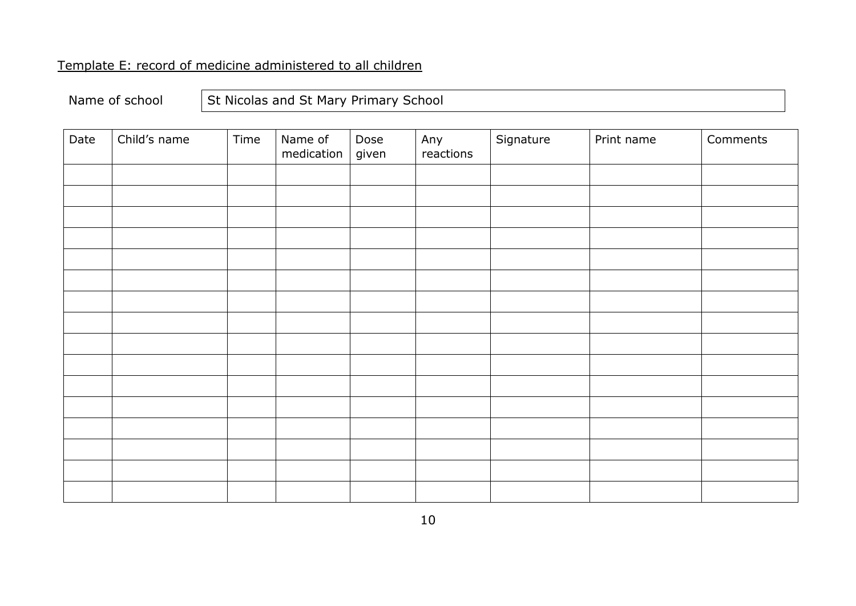# Template E: record of medicine administered to all children

# Name of school  $\left|\begin{array}{c} \end{array}\right|$  St Nicolas and St Mary Primary School

| Date | Child's name | Time | Name of<br>medication | Dose<br>given | Any<br>reactions | Signature | Print name | Comments |
|------|--------------|------|-----------------------|---------------|------------------|-----------|------------|----------|
|      |              |      |                       |               |                  |           |            |          |
|      |              |      |                       |               |                  |           |            |          |
|      |              |      |                       |               |                  |           |            |          |
|      |              |      |                       |               |                  |           |            |          |
|      |              |      |                       |               |                  |           |            |          |
|      |              |      |                       |               |                  |           |            |          |
|      |              |      |                       |               |                  |           |            |          |
|      |              |      |                       |               |                  |           |            |          |
|      |              |      |                       |               |                  |           |            |          |
|      |              |      |                       |               |                  |           |            |          |
|      |              |      |                       |               |                  |           |            |          |
|      |              |      |                       |               |                  |           |            |          |
|      |              |      |                       |               |                  |           |            |          |
|      |              |      |                       |               |                  |           |            |          |
|      |              |      |                       |               |                  |           |            |          |
|      |              |      |                       |               |                  |           |            |          |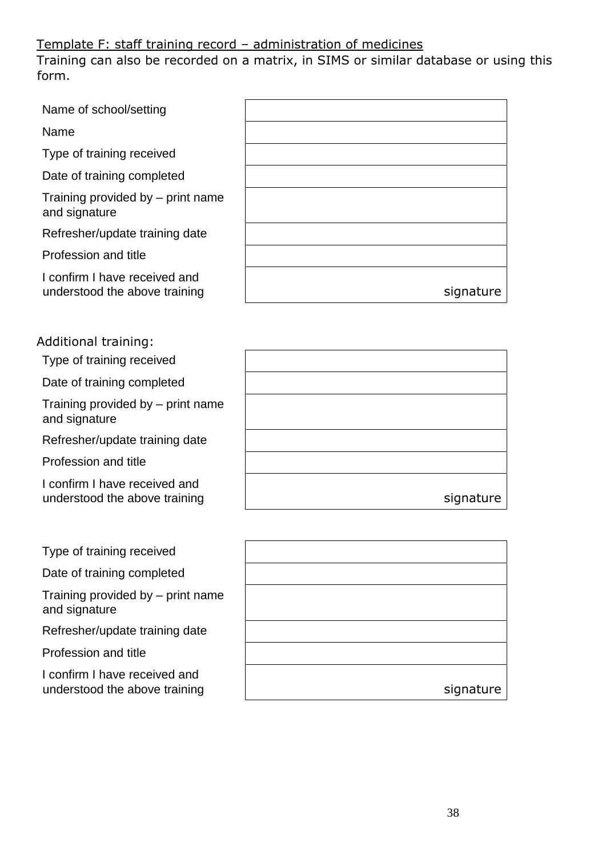## Template F: staff training record – administration of medicines

Training can also be recorded on a matrix, in SIMS or similar database or using this form.

| Name of school/setting                                         |           |
|----------------------------------------------------------------|-----------|
| Name                                                           |           |
| Type of training received                                      |           |
| Date of training completed                                     |           |
| Training provided by – print name<br>and signature             |           |
| Refresher/update training date                                 |           |
| Profession and title                                           |           |
| I confirm I have received and<br>understood the above training | signature |

### Additional training:

Type of training received

Date of training completed

Training provided by – print name and signature

Refresher/update training date

Profession and title

I confirm I have received and understood the above training

Type of training received

Date of training completed

Training provided by – print name and signature

Refresher/update training date

Profession and title

I confirm I have received and understood the above training

| signature |
|-----------|

| signature |
|-----------|
|           |
|           |
|           |
|           |
|           |
|           |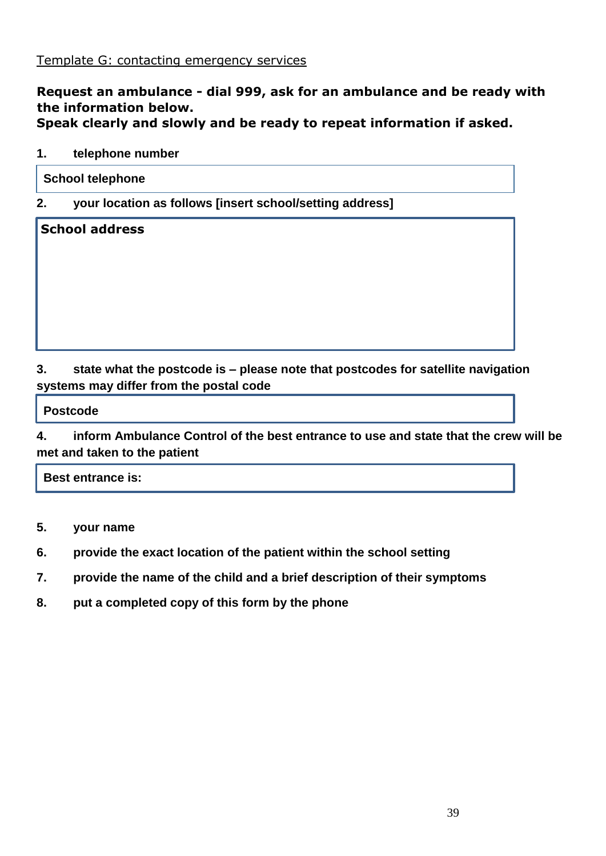#### **Request an ambulance - dial 999, ask for an ambulance and be ready with the information below. Speak clearly and slowly and be ready to repeat information if asked.**

#### **1. telephone number**

**2. your location as follows [insert school/setting address]**

**School address**

## **3. state what the postcode is – please note that postcodes for satellite navigation systems may differ from the postal code**

 **Postcode**

**4. inform Ambulance Control of the best entrance to use and state that the crew will be met and taken to the patient**

 **Best entrance is:**

- **5. your name**
- **6. provide the exact location of the patient within the school setting**
- **7. provide the name of the child and a brief description of their symptoms**
- **8. put a completed copy of this form by the phone**